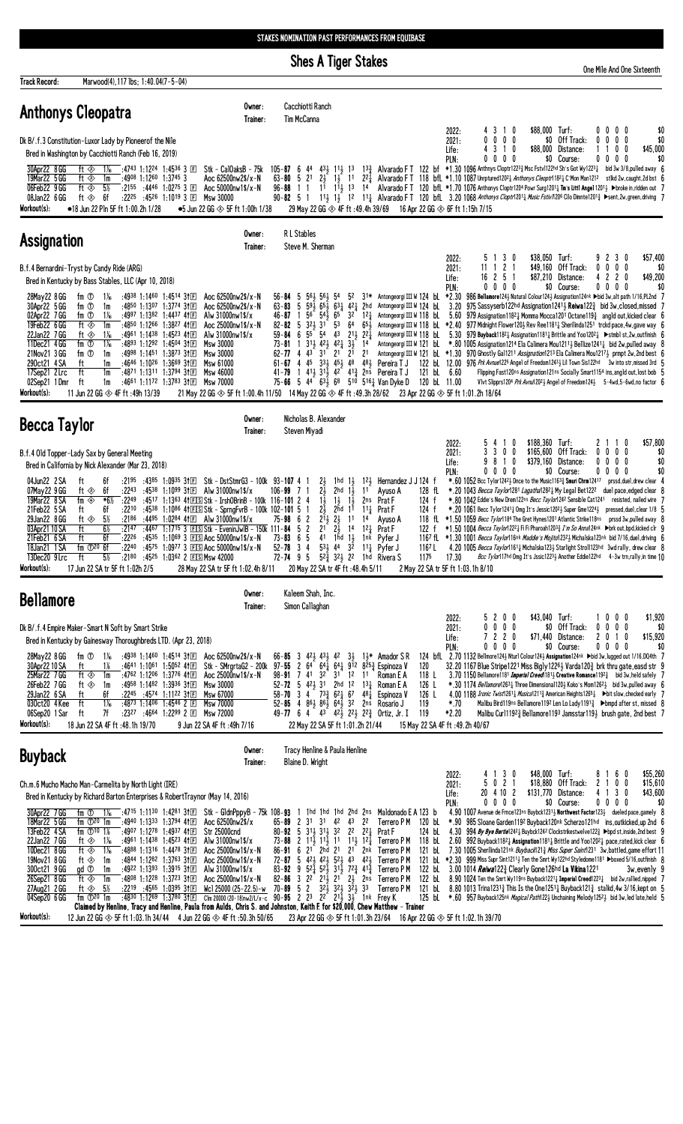## **Shes A Tiger Stakes**

|                                                                                                                                                                                                                                                                                                  | Sties A liger Stakes                                                                                                                                                                                                 | One Mile And One Sixteenth                                                                                                                                                                                                                                                                                                                                                                                                                                                                                                                    |
|--------------------------------------------------------------------------------------------------------------------------------------------------------------------------------------------------------------------------------------------------------------------------------------------------|----------------------------------------------------------------------------------------------------------------------------------------------------------------------------------------------------------------------|-----------------------------------------------------------------------------------------------------------------------------------------------------------------------------------------------------------------------------------------------------------------------------------------------------------------------------------------------------------------------------------------------------------------------------------------------------------------------------------------------------------------------------------------------|
| <b>Track Record:</b><br>Marwood(4), 117 lbs; 1:40.04(7-5-04)                                                                                                                                                                                                                                     |                                                                                                                                                                                                                      |                                                                                                                                                                                                                                                                                                                                                                                                                                                                                                                                               |
| <b>Anthonys Cleopatra</b>                                                                                                                                                                                                                                                                        | Cacchiotti Ranch<br>Owner:<br>Tim McCanna<br>Trainer:                                                                                                                                                                |                                                                                                                                                                                                                                                                                                                                                                                                                                                                                                                                               |
| Dk B/.f.3 Constitution-Luxor Lady by Pioneerof the Nile<br>Bred in Washington by Cacchiotti Ranch (Feb 16, 2019)                                                                                                                                                                                 |                                                                                                                                                                                                                      | 2022:<br>\$88,000 Turf:<br>\$0<br>4 3 1 0<br>$0\,0\,0\,0$<br>\$0<br>\$0 Off Track:<br>$0\,0\,0\,0$<br>$0\,0\,0\,0$<br>2021:<br>\$45,000<br>\$88,000 Distance:<br>4 3 1 0<br>1100<br>Life:<br>$0\quad 0\quad 0\quad 0\quad$<br>\$0 Course:<br>$0\quad 0\quad 0\quad 0$<br>\$0<br>PIN:                                                                                                                                                                                                                                                          |
| :4743 1:1224 1:4536 3 $E$<br>30Apr22 8 GG<br>$1\%$<br>ft $\otimes$<br>$:4908$ 1:1260 1:3745 3<br>19Mar22 5 GG<br>ft $\otimes$<br>1m<br>- 5%<br>$:4446$ 1:0275 3 FT<br>06Feb22 9GG<br>ft ⊗<br>.2155<br>:4526 1:1019 3 $\overline{E}$<br>08Jan22 6GG<br>- 6f<br>:2225<br>ft $\otimes$<br>Msw 30000 | Stk – Ca10aksB – 75k<br>$105 - 87$ 6 44 431 111, 13<br>$13\frac{3}{2}$<br>$63 - 80$ 5 21 24 14 11<br>Aoc 62500nw2\$/x-N<br>221<br>Aoc $50000 \text{nw} 1$ \$/x-N<br>$96 - 88 = 1$<br>11 11 13<br>14<br>$90 - 82$ 5 1 | Alvarado FT 122 bf $*1.30$ 1096 Anthnys Cloptr122 <sup>3</sup> $\frac{3}{4}$ Msc Fstv1122hd Sh's Got Wy122 <sup>3</sup> $\frac{1}{4}$ bid 3w 3/8, pulled away 6<br>Alvarado FT 118 bfL $*1.10$ 1087 Unrptured12021 Anthonys Cleoptr11821 C'Mon Man1212 stikd 2w, caught, 2d bst 6<br>Alvarado FT 120 bfL *1.70 1076 Anthonys Cloptr1204 Powr Surg12011 Tm's Littl Angel 12011 >broke in, ridden out 7<br>11} 12 11} Alvarado FT 120 bfL 3.20 1068 Anthonys Cloptr1201} Music Fstiv/120 <sup>6</sup> Cilo Dimnte1201} >sent,2w,green,driving 7 |
| Workout(s):<br>$\bullet$ 18 Jun 22 P1n 5F ft 1:00.2h 1/28<br>$\bullet$ 5 Jun 22 GG $\otimes$ 5F ft 1:00h 1/38                                                                                                                                                                                    | 29 May 22 GG $\otimes$ 4F ft :49.4h 39/69                                                                                                                                                                            | 16 Apr 22 GG ◈ 6F ft 1:15h 7/15                                                                                                                                                                                                                                                                                                                                                                                                                                                                                                               |

| <b>Assignation</b>                                                                                                                                                                                                                                                                                                                                                                                                                                                                                                                                                                                                                                                                 | Owner:<br>Trainer:                                                                                                                                                                     | <b>RL</b> Stables<br>Steve M. Sherman                                                                                                                                                                                                                                                                                                                                                                                                                         |                                                                                                                                                                                                                                                      |                                                                                                                                                                                                                                                                                                                                                                                                                                                                                                                                                                                                                                                                                                                                                                                                                                                                                                                                                     |                                                                                           |
|------------------------------------------------------------------------------------------------------------------------------------------------------------------------------------------------------------------------------------------------------------------------------------------------------------------------------------------------------------------------------------------------------------------------------------------------------------------------------------------------------------------------------------------------------------------------------------------------------------------------------------------------------------------------------------|----------------------------------------------------------------------------------------------------------------------------------------------------------------------------------------|---------------------------------------------------------------------------------------------------------------------------------------------------------------------------------------------------------------------------------------------------------------------------------------------------------------------------------------------------------------------------------------------------------------------------------------------------------------|------------------------------------------------------------------------------------------------------------------------------------------------------------------------------------------------------------------------------------------------------|-----------------------------------------------------------------------------------------------------------------------------------------------------------------------------------------------------------------------------------------------------------------------------------------------------------------------------------------------------------------------------------------------------------------------------------------------------------------------------------------------------------------------------------------------------------------------------------------------------------------------------------------------------------------------------------------------------------------------------------------------------------------------------------------------------------------------------------------------------------------------------------------------------------------------------------------------------|-------------------------------------------------------------------------------------------|
| B.f.4 Bernardini-Tryst by Candy Ride (ARG)<br>Bred in Kentucky by Bass Stables, LLC (Apr 10, 2018)                                                                                                                                                                                                                                                                                                                                                                                                                                                                                                                                                                                 |                                                                                                                                                                                        |                                                                                                                                                                                                                                                                                                                                                                                                                                                               | 2022:<br>2021:<br>Life:<br>PLN:                                                                                                                                                                                                                      | 5 1 3 0<br>\$38.050<br>Turf:<br>\$49,160 Off Track:<br>11 1 2 1<br>\$87,210 Distance:<br>16 2 5 1<br>$0\,0\,0\,0$<br>\$0 Course:                                                                                                                                                                                                                                                                                                                                                                                                                                                                                                                                                                                                                                                                                                                                                                                                                    | \$57,400<br>9 2 3 0<br>$0\,0\,0\,0$<br>\$(<br>\$49,200<br>4 2 2 0<br>$0\,0\,0\,0$<br>-\$0 |
| 28May22 8 GG<br>fm ①<br>:4938 1:1460<br>$1:45^{14}31E$<br>$1\%$<br>30Apr22 5 GG<br>$1:3774$ 3† $E$<br>fm ①<br>:4850 1:1307<br>1m<br>02Apr22 7GG<br>1:4437 41 $E$<br>fm ①<br>:4997 1:1382<br>$1\%$<br>19Feb22 6 GG<br>:4850 1:1266<br>$1:38^{27}$ 41 F<br>ft ∢<br>1m<br>22Jan22 7GG<br>$:4961$ 1:1438<br>$1:45^{23}$ 41 F<br>ft $\otimes$<br>$1\%$<br>11Dec21 4 GG<br>:4893 1:1292<br>fm ①<br>$1\%$<br>$1:4504$ 31 $F$<br>fm ①<br>$:4998$ 1:1451<br>$1:3873$ 31 F<br>21Nov21 3 GG<br>1m<br>$1:36^{69}31E$<br>290ct21 4 SA<br>:4646 1:1026<br>Ħ<br>1m<br>17Sep21 2 Lrc<br>:4871 1:1311<br>1:3794 3†国<br>1m<br>ft<br>02Sep21 1Dmr<br>:4661 1:1172 1:3783 31 $E$ Msw 70000<br>ft<br>1m | Aoc $62500$ nw $2\frac{5}{x}$ -N<br>Aoc 62500nw2\$/x-N<br>Alw 31000nw1\$/x<br>Aoc $25000$ nw $1$ \$/x-N<br>Alw $31000$ nw $1$ \$/x<br>Msw 30000<br>Msw 30000<br>Msw 61000<br>Msw 46000 | $56 - 84$ 5 $56\frac{1}{2}$ $56\frac{1}{2}$ 54<br>52<br>$46 - 87$ 1 5 <sup>6</sup> 5 <sup>4</sup> 46 <sup>5</sup> 3 <sup>2</sup><br>$82 - 82$ 5 32 4 31 53<br>64<br>43 211 221<br>$59 - 84$ 6 $55$ $54$<br>$73 - 81$ 1 $31\frac{1}{2}$ $42\frac{1}{2}$ $42\frac{1}{2}$ $3\frac{1}{2}$ 14<br>62-77 4 43 31 21 21 21<br>$61 - 67$ 4 $45$ $33\frac{1}{2}$ $45\frac{1}{2}$ $48$<br>41-79 1 413 313 42 413 2ns Pereira TJ<br>75-66 5 44 63 68 510 516 } Van Dyke D | 63-83 5 594 654 634 424 2hd Antongeorgi III W 124 bl<br>124<br>Antongeorgi III W 118 bl<br>654<br>Antongeorgi III W 118 bl<br>Antongeorgi III W 118 bl<br>Antongeorgi III W 121 bl<br>122 bL<br>481<br>Pereira T J<br>6.60<br>121 bL<br>120 bL 11.00 | S1* Antongeorgi III W 124 bL *2.30 986 Bellamore124} Natural Colour124} Assignation124nk ▶bid 3w, alt path 1/16, PL2nd 7<br>3.20 975 Sassyserb122hd Assignation1241 Reiwa122 3 bid 3w.closed.missed 7<br>5.60 979 Assignation11821 Momma Mocca1201 Octane1193 angld out, kicked clear 6<br>*2.40 977 Midnight Flower1203 Rev Ree11811 Sherilinda1251 trckd pace, 4w, gave way<br>5.30 979 Buyback11821 Assignation11811 Brittle and Yoo12021 > stmbl st, 2w, outfinish 6<br>*, 80 1005 Assignation 1214 Ela Calimera Mou1211; Bellize1241; bid 2w, pulled away<br>Antongeorgi III W 121 bl. *1.30 970 Ghostly Gal1211 Assignation1213 Ela Calimera Mou12173 prmpt 2w, 2nd best 6<br>12.00 976 Prk Avnue1225 Angel of Freedom12433 Lil Town Sis122hd 3w into str, missed 3rd 5<br>Flipping Fast120ns Assignation121ns Socially Smart1154 ins, angld out, lost bob 5<br>Vlvt Slipprs1204 Prk Avnu12023 Angel of Freedom1243 5-4wd, 5-6wd, no factor 6 |                                                                                           |
| Workout(s):<br>11 Jun 22 GG $\otimes$ 4F ft :49h 13/39                                                                                                                                                                                                                                                                                                                                                                                                                                                                                                                                                                                                                             |                                                                                                                                                                                        |                                                                                                                                                                                                                                                                                                                                                                                                                                                               | 21 May 22 GG ◈ 5F ft 1:00.4h 11/50 14 May 22 GG ◈ 4F ft :49.3h 28/62 23 Apr 22 GG ◈ 5F ft 1:01.2h 18/64                                                                                                                                              |                                                                                                                                                                                                                                                                                                                                                                                                                                                                                                                                                                                                                                                                                                                                                                                                                                                                                                                                                     |                                                                                           |

| Becca Taylor                                                                                                                                                                                                                                                                                                                                                                                                                                                                     | Owner:<br>Trainer:                                                                                                                                                                                                                                                                                                                                                                                                 | Nicholas B. Alexander<br>Steven Miyadi                                                                                                                                                                                                                                                                                                                                                |                                                                                                                                                                                                                                                  |                                                                                                |                                                                                                                                                                                                                                                                                                                                                                                                                                                                                                                                                                                                                                                                                                                                                                                                                                                                                                                |
|----------------------------------------------------------------------------------------------------------------------------------------------------------------------------------------------------------------------------------------------------------------------------------------------------------------------------------------------------------------------------------------------------------------------------------------------------------------------------------|--------------------------------------------------------------------------------------------------------------------------------------------------------------------------------------------------------------------------------------------------------------------------------------------------------------------------------------------------------------------------------------------------------------------|---------------------------------------------------------------------------------------------------------------------------------------------------------------------------------------------------------------------------------------------------------------------------------------------------------------------------------------------------------------------------------------|--------------------------------------------------------------------------------------------------------------------------------------------------------------------------------------------------------------------------------------------------|------------------------------------------------------------------------------------------------|----------------------------------------------------------------------------------------------------------------------------------------------------------------------------------------------------------------------------------------------------------------------------------------------------------------------------------------------------------------------------------------------------------------------------------------------------------------------------------------------------------------------------------------------------------------------------------------------------------------------------------------------------------------------------------------------------------------------------------------------------------------------------------------------------------------------------------------------------------------------------------------------------------------|
| B.f.4 Old Topper-Lady Sax by General Meeting<br>Bred in California by Nick Alexander (Mar 23, 2018)                                                                                                                                                                                                                                                                                                                                                                              |                                                                                                                                                                                                                                                                                                                                                                                                                    |                                                                                                                                                                                                                                                                                                                                                                                       |                                                                                                                                                                                                                                                  | 2022:<br>- 0<br>54<br>2021:<br>3300<br>981<br>- 0<br>Life:<br>PLN:<br>$0\quad 0$<br>$0\quad 0$ | \$57.800<br>\$188,360 Turf:<br>2 1 1<br>$\mathbf{0}$<br>\$165,600 Off Track:<br>$0\,0\,0\,0$<br>\$0<br>\$379,160 Distance:<br>\$0<br>$0\ 0\ 0\ 0$<br>\$0<br>\$0 Course:<br>$0\,0\,0\,0$                                                                                                                                                                                                                                                                                                                                                                                                                                                                                                                                                                                                                                                                                                                        |
| 04Jun22 2 SA<br>:4385<br>6f<br>:2195<br>07May22 9 GG<br>:4538<br>:2243<br>ft ⊗<br>-6f<br>*6%<br>19Mar22 8 SA<br>:2249<br>fm $\Leftrightarrow$<br>21Feb22 5 SA<br>:4538<br>:2210<br>ft<br>6t<br>29Jan22 8GG<br>:2186<br>:4495<br>ft ⊗<br>-5%<br>03Apr21 10 SA<br>ft<br>6%<br>:2147<br>:4467<br>21Feb21 6 SA<br>:2226<br>6f<br>:4535<br>18Jan21 1 SA<br>fm $(D20)$ 6f<br>:2240<br>:4575<br>:4525<br>13Dec20 9 Lrc<br>:2180<br>5%<br>Workout(s):<br>17 Jun 22 SA tr 5F ft 1:02h 2/5 | Stk – DstStmrG3 – 100k   93– <b>107</b> 4   1<br>1:09 <sup>35</sup> 3†⊡<br>Alw 31000nw1\$/x<br>1:10 <sup>99</sup> 3f匣<br>1:1086 41 EIS Stk - SprngFvrB - 100k 102-101 5 1<br>1:02 <sup>84</sup> 41F<br>Alw 31000nw1\$/x<br>$1:17^{15}$ 3 FS Stk - EveninJwIB - 150k 111-84 5 2<br>1:1069 3 ES Aoc 50000nw1\$/x-N<br>1:0977 3 EIS Aoc 50000nw1\$/x-N<br>1:0362 2 ES Msw 42000<br>28 May 22 SA tr 5F ft 1:02.4h 8/11 | 1hd 1½<br>$2\frac{1}{2}$<br>$106 - 99$ 7 1<br>21<br>2 <sup>hd</sup> 1 <sup>1</sup><br>$1\frac{1}{2}$ $1\frac{1}{2}$<br>2hd<br>21<br>$75 - 98$ 6 2<br>$2^{11}$ $2^{1}$<br>- 11 -<br>21<br>14<br>41<br>$1\frac{1}{2}$<br>$73 - 83$ 6 5<br>1hd<br>$53\frac{1}{2}$ 44 32<br>$52 - 78$ 3 4<br>$52\frac{3}{2}$ $32\frac{1}{2}$ 22<br>72- <b>74</b> 9 5<br>20 May 22 SA tr 4F ft :48.4h 5/11 | Hernandez J J 124 f<br>$12\frac{1}{2}$<br>128 fL<br>Ayuso A<br>Prat F<br>124 f<br>2ns<br>Prat F<br>111<br>124 f<br>Avuso A<br>118 fL<br>124<br>Prat F<br>122 f<br>Pyfer J<br>1nk<br>$11\frac{1}{2}$ Pyfer J<br>1167 L<br>1hd<br>Rivera S<br>1175 | 17.30<br>2 May 22 SA tr 5F ft 1:03.1h 8/10                                                     | *.60 1052 Bcc Tylor12424 Dnce to the Music11633 Smuri Chrm12417<br>prssd,duel,drew clear 4<br>*.20 1043 Becca Taylor1281 Lagatha12821 My Legal Bet1222<br>duel pace.edged clear 8<br>*.80 1042 Eddie's New Drem122ns Becc Taylor1242 Sensible Cat1241<br>resisted, nailed wire 7<br>$*$ , 20 1061 Becc Tylor1241; Omg It's Jessic1202; Super Gme1224; pressed, duel, clear 1/8 $\,$ 5<br>$*1.50$ 1059 <i>Becc Tylor</i> 1184 The Gret Hynes 1201 Atlantic Strike 118ns prssd 3w, pulled away 8<br>*1.50 1004 Becca Taylor122 <sup>2</sup> Fi Fi Pharoah120 <sup>33</sup> I'm So Anna124nk ▶ brk out, bpd, kicked clr 9<br>1167 fl. $*1.30$ 1001 Becca Taylor116nk Maddie's Mojito12324 Michalska123nk bid 7/16, duel, driving 6<br>4.20 1005 Becca Taylor11614 Michalska1234 Starlight Stroll123hd 3wd rally, drew clear 8<br>Bcc Tylor117hd Omg It's Jssic12233 Another Eddie122hd 4-3w trn,rally, in time 10 |

| <b>Bellamore</b>                                                                                                                       |                                                                     |                                              |                                |                                                                                                                                                                                  |                                                                                                                                           | Owner:<br>Trainer:     |                                                                                                                                                                                                                                            | Kaleem Shah, Inc.<br>Simon Callaghan              |                |           |                |                                                 |                                                                                                                                                                                           |                                                                                |                                 |                                   |                                      |                                                                                                                                                                                                                                                                                                                                                                                                                                                                                                                                                                                                                                                                                                                                                                                                  |                                                          |          |              |                                                       |                                          |     |
|----------------------------------------------------------------------------------------------------------------------------------------|---------------------------------------------------------------------|----------------------------------------------|--------------------------------|----------------------------------------------------------------------------------------------------------------------------------------------------------------------------------|-------------------------------------------------------------------------------------------------------------------------------------------|------------------------|--------------------------------------------------------------------------------------------------------------------------------------------------------------------------------------------------------------------------------------------|---------------------------------------------------|----------------|-----------|----------------|-------------------------------------------------|-------------------------------------------------------------------------------------------------------------------------------------------------------------------------------------------|--------------------------------------------------------------------------------|---------------------------------|-----------------------------------|--------------------------------------|--------------------------------------------------------------------------------------------------------------------------------------------------------------------------------------------------------------------------------------------------------------------------------------------------------------------------------------------------------------------------------------------------------------------------------------------------------------------------------------------------------------------------------------------------------------------------------------------------------------------------------------------------------------------------------------------------------------------------------------------------------------------------------------------------|----------------------------------------------------------|----------|--------------|-------------------------------------------------------|------------------------------------------|-----|
| Dk B/.f.4 Empire Maker-Smart N Soft by Smart Strike<br>Bred in Kentucky by Gainesway Thoroughbreds LTD. (Apr 23, 2018)                 |                                                                     |                                              |                                |                                                                                                                                                                                  |                                                                                                                                           |                        |                                                                                                                                                                                                                                            |                                                   |                |           |                |                                                 |                                                                                                                                                                                           |                                                                                | 2022:<br>2021:<br>Life:<br>PLN: |                                   | 5200<br>0000<br>7220<br>$0\ 0\ 0\ 0$ | \$71,440<br>\$0                                                                                                                                                                                                                                                                                                                                                                                                                                                                                                                                                                                                                                                                                                                                                                                  | \$43,040 Turf:<br>\$0 Off Track:<br>Distance:<br>Course: |          | $\mathbf{0}$ | $0\quad 0$<br>$0\,0\,0\,0$<br>2 0 1 0<br>$0\,0\,0\,0$ | \$1,920<br>-\$0<br>\$15,920              | \$0 |
| 28May22 8 GG<br>30Apr22 10 SA<br>25Mar22 7GG<br>26Feb22 7GG<br>29Jan22 6 SA<br>030ct20 4 Kee<br>06Sep20 1 Sar<br>Workout(s):           | fm ①<br>ft ◈<br>ft ⊗<br>ft<br>ft<br>18 Jun 22 SA 4F ft: 48.1h 19/70 | $1\%$<br>1%<br>1m<br>1m<br>6f<br>$1\%$<br>7f | :2245<br>:4873 1:1406<br>:2327 | :4938 1:1460 1:4514 31 E<br>:4641 1:1061 1:5052 41 $E$<br>:4762 1:1206 1:3776 41 $E$<br>:4958 1:1482 1:3936 31 $E$<br>:4574 1:1122 311日<br>$1:45^{46}$ 2 $E$<br>:4664 1:2299 2 回 | Aoc $62500$ nw $2\frac{5}{x}$ -N<br>Aoc 25000nw1\$/x-N<br>Msw 30000<br>Msw 67000<br>Msw 70000<br>Msw 72000<br>9 Jun 22 SA 4F ft: 49h 7/16 | Stk - SMrgrtaG2 - 200k | $66 - 85$ 3 $42\frac{1}{2}$ $43\frac{1}{2}$ $42$<br>$98 - 91$ 7 41<br>$52 - 72$ 5 42 $\frac{1}{2}$ 31<br>$58 - 70$ 3 4 $73\frac{3}{4}$ 6 <sup>2</sup> 1 6 <sup>7</sup><br>$52 - 85$ 4 $86\frac{1}{2}$ $86\frac{1}{2}$ $64\frac{1}{2}$ $32$ | 22 May 22 SA 5F ft 1:01.2h 21/44                  | 3 <sup>2</sup> | 31<br>2hd | 3}<br>12<br>12 | $1\frac{1}{2}$<br>$13\frac{1}{2}$<br>481<br>2ns | Amador S R<br>97-55 2 64 641 641 912 8253 Espinoza V<br>Roman E A<br>Roman E A<br>Espinoza V<br>Rosario J<br>49-77 6 4 43 42 $\frac{1}{2}$ 22 $\frac{1}{2}$ 22 $\frac{3}{4}$ Ortiz, Jr. I | 120<br>118L<br>126 L<br>126 L<br>119<br>119<br>15 May 22 SA 4F ft: 49.2h 40/67 | $*.70$<br>*2.20                 |                                   |                                      | 124 bfl. 2.70 1132 Bellmore1243 Nturl Colour1243 Assignation124nk Dbid 3w, lugged out 1/16, DQ4th 7<br>32.20 1167 Blue Stripe1221 Miss Bigly1226 $\frac{1}{2}$ Varda120 $\frac{3}{4}$ brk thru gate, easd str 9<br>3.70 1150 Bellamore1181 <i>Imperial Creed</i> 181 <sub>3</sub> Creative Romance1192 <sub>3</sub> bid 3w, held safely 7<br>*.30 1174 Bellamore12631 Three Dimensional1201 Koko's Mom12621 bid 3w, pulled away 6<br>4.00 1188 <i>Ironic Twist</i> 1261 <sub>4</sub> <i>Musica</i> 1211 <sub>4</sub> American Heights1265 <sub>4</sub> • bit slow, checked early 7<br>Malibu Bird119ns Bellamore1192 Len Lo Lady1191 $\frac{3}{2}$ $\blacktriangleright$ bmpd after st, missed 8<br>Malibu Curl1192 $\frac{3}{4}$ Bellamore1193 Jamsstar119 $\frac{1}{2}$ brush gate, 2nd best 7 |                                                          |          |              |                                                       |                                          |     |
| <b>Buyback</b>                                                                                                                         |                                                                     |                                              |                                |                                                                                                                                                                                  |                                                                                                                                           | Owner:<br>Trainer:     |                                                                                                                                                                                                                                            | Tracy Henline & Paula Henline<br>Blaine D. Wright |                |           |                |                                                 |                                                                                                                                                                                           |                                                                                |                                 |                                   |                                      |                                                                                                                                                                                                                                                                                                                                                                                                                                                                                                                                                                                                                                                                                                                                                                                                  |                                                          |          |              |                                                       |                                          |     |
| Ch.m.6 Mucho Macho Man-Carmelita by North Light (IRE)<br>Bred in Kentucky by Richard Barton Enterprises & RobertTraynor (May 14, 2016) |                                                                     |                                              |                                |                                                                                                                                                                                  |                                                                                                                                           |                        |                                                                                                                                                                                                                                            |                                                   |                |           |                |                                                 |                                                                                                                                                                                           |                                                                                | 2022:<br>2021:<br>Life:<br>PIN: | 5021<br>20 4 10 2<br>$0\,0\,0\,0$ | 30                                   | \$48,000<br>\$18,880<br>\$131,770                                                                                                                                                                                                                                                                                                                                                                                                                                                                                                                                                                                                                                                                                                                                                                | Turf:<br>Off Track:<br>Distance:<br>\$0 Course:          | 81<br>21 |              | 60<br>$0\quad 0$<br>30<br>$0\ 0\ 0\ 0$                | \$55,260<br>\$15,610<br>\$43,600<br>-\$0 |     |
| 30Apr22 7 GG<br>$10M$ , $20R$ , $F$ , $DQ$                                                                                             | fm ①<br>$f_{\cdots}$ $\approx$ 200 $f_{\cdots}$                     | $1\%$                                        |                                |                                                                                                                                                                                  | :4715 1:1130 1:4281 3t匡 Stk - G1dnPppyB - 75k 108-93 1 1hd 1hd 1hd 2hd 2ns                                                                |                        |                                                                                                                                                                                                                                            |                                                   |                |           |                |                                                 | Maldonado E A 123 b                                                                                                                                                                       |                                                                                |                                 |                                   |                                      | 4.90 1007 Avenue de Frnce123ns Buybck12313 Northwest Factor1233 dueled pace, gamely 8<br>$*$ 00 00 01 $$ 0 $1$ 4402 D. L. 1400 L. C. L. 404 L. L. $$                                                                                                                                                                                                                                                                                                                                                                                                                                                                                                                                                                                                                                             |                                                          |          |              |                                                       |                                          |     |

| 18Mar22 5GG  |                         |  |                                                                                                                                               | 65-89 2 31 31 44 45 24 |  |  |                                  |        | errero PM = 120 bL = *.90 - 985 Sloane Garden1194 Buyback120nk Scherzo121nd = ins.outkicked.up 2nd = 6                                                                                                 |
|--------------|-------------------------|--|-----------------------------------------------------------------------------------------------------------------------------------------------|------------------------|--|--|----------------------------------|--------|--------------------------------------------------------------------------------------------------------------------------------------------------------------------------------------------------------|
| 13Feb22 4 SA | fm (T) $10 \frac{1}{6}$ |  | :4907 1:1278 1:4937 41〒 Str 25000cnd                                                                                                          |                        |  |  | 80-92 5 314 314 32 22 224 Prat F | 124 bL | 4.30 994 <i>By Bye Bertle</i> 124 <sup>2</sup> ½ Buybck124 <sup>2</sup> Clockstrikestwelve122½ ▶bpd st,inside,2nd best 9                                                                               |
| 22Jan22 7GG  |                         |  | ft $\textcircled{*}$ 1‰ :4961 1:1438 1:4523 41⊞ Alw 31000nw1\$/x                                                                              |                        |  |  |                                  |        | 73-88 2 113 113 11 113 123 Terrero P M 118 bl 2.60 992 Buyback1182 assignation1181 brittle and Yoo1202 bace,rated, kick clear 6                                                                        |
| 10Dec21 8 GG |                         |  | ft $\textcircled{*}$ 1‰ :4888 1:1316 1:4478 31 $\textcircled{\texttt{F}}$ Aoc 25000nw1\$/x-N                                                  |                        |  |  |                                  |        | 86-91 6 21 2hd 21 2nk Terrero PM 121 bl. 7.30 1005 Sherilinda121nk <i>Buyback</i> 121 <sup>3</sup> Miss Super Saint1231 3w, battled, game effort 11                                                    |
| 19Nov21 8 GG | ft ≪≻ 1m                |  | :4844 1:1282 1:3763 31FI Aoc 25000nw1\$/x-N                                                                                                   |                        |  |  |                                  |        | 72-87 5 423 423 523 43 423 Terrero PM 121 bL *2.30 999 Miss Supr Sint12113 Ten the Smrt Wy122hd Styledome1181 ▶boxed 5/16,outfinish 8                                                                  |
| 300ct21 9GG  |                         |  | _ad ①  1m   :4922 1:1393  1:3915 3t囯  A1w 31000nw1\$/x                                                                                        |                        |  |  |                                  |        | 83-92 9 524 524 314 723 413 Terrero PM 122 bL 3.00 1014 Relival 223 Clearly Gone 126hd La Vikina 1221 3w.evenly 9                                                                                      |
| 26Sep21 8.GG |                         |  |                                                                                                                                               |                        |  |  |                                  |        |                                                                                                                                                                                                        |
| 27Aua21 2.GG |                         |  |                                                                                                                                               |                        |  |  |                                  |        | ft ◈ 5½ :2219 :4565 1:0395 31E Wc1 25000 (25-22.5)-w 70-89 5 2 324 324 324 33 Terrero P M 121 bL 8.80 1013 Trina1231} This Is the One1251} Buyback121} stalkd,4w 3/16,kept on 5                        |
| 04Sep20 6GG  |                         |  |                                                                                                                                               |                        |  |  |                                  |        | fm 1 2010 1 m :4830 1:1269 1:3780 31 E Clm 20000 (20-18) w2/L/x-c 90-95 2 23 22 213 33 1nk Frey K 125 bL *.60 957 Buyback125nk <i>Magical Path1223</i> Unchaining Melody12523 bid 3w, led late, held 5 |
|              |                         |  | Claimed by Henline, Tracy and Henline, Paula from Aulds, Chris S. and Johnston, Keith F. for \$20,000, Chew Matthew - Trainer                 |                        |  |  |                                  |        |                                                                                                                                                                                                        |
| Workout(s):  |                         |  | 12 Jun 22 GG ◈ 5F ft 1:03.1h 34/44  4 Jun 22 GG ◈ 4F ft :50.3h 50/65   23 Apr 22 GG ◈ 5F ft 1:01.3h 23/64  16 Apr 22 GG ◈ 5F ft 1:02.1h 39/70 |                        |  |  |                                  |        |                                                                                                                                                                                                        |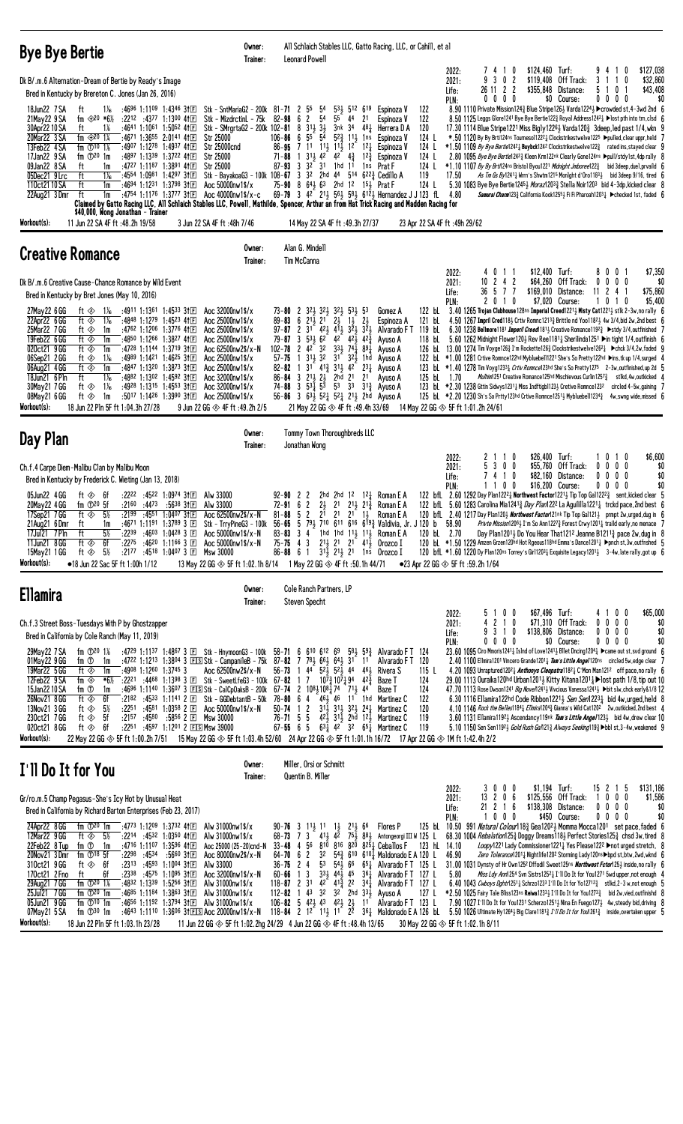| <b>Bye Bye Bertie</b>                                                                                                                                                                                                                                                                                                                                                                                                                                                                                                                                                                                                                                                                                                                                                                                                                                                                                                                                                                            | Owner:<br>Trainer:                                                                                                                                                                                                                                                                                                                                                                                                                                                                                                                                                                                                                                                   | All Schlaich Stables LLC, Gatto Racing, LLC, or Cahill, et al<br>Leonard Powell                                                                                                                                                                                                                                                                                                                                                                                                                                                                                                                                                                                                                                                                                                                                                                                                                |                                                                                                                                                                                                                                                                                                                  |                                                                                                                                                                                                                                                                                                                                                                                                                                                                                                                                                                                                                                                                                                                                                                                                                                                                                                                                                                                                                                                                                                                                                                                                                                                                                                                                                                                                                                                      |
|--------------------------------------------------------------------------------------------------------------------------------------------------------------------------------------------------------------------------------------------------------------------------------------------------------------------------------------------------------------------------------------------------------------------------------------------------------------------------------------------------------------------------------------------------------------------------------------------------------------------------------------------------------------------------------------------------------------------------------------------------------------------------------------------------------------------------------------------------------------------------------------------------------------------------------------------------------------------------------------------------|----------------------------------------------------------------------------------------------------------------------------------------------------------------------------------------------------------------------------------------------------------------------------------------------------------------------------------------------------------------------------------------------------------------------------------------------------------------------------------------------------------------------------------------------------------------------------------------------------------------------------------------------------------------------|------------------------------------------------------------------------------------------------------------------------------------------------------------------------------------------------------------------------------------------------------------------------------------------------------------------------------------------------------------------------------------------------------------------------------------------------------------------------------------------------------------------------------------------------------------------------------------------------------------------------------------------------------------------------------------------------------------------------------------------------------------------------------------------------------------------------------------------------------------------------------------------------|------------------------------------------------------------------------------------------------------------------------------------------------------------------------------------------------------------------------------------------------------------------------------------------------------------------|------------------------------------------------------------------------------------------------------------------------------------------------------------------------------------------------------------------------------------------------------------------------------------------------------------------------------------------------------------------------------------------------------------------------------------------------------------------------------------------------------------------------------------------------------------------------------------------------------------------------------------------------------------------------------------------------------------------------------------------------------------------------------------------------------------------------------------------------------------------------------------------------------------------------------------------------------------------------------------------------------------------------------------------------------------------------------------------------------------------------------------------------------------------------------------------------------------------------------------------------------------------------------------------------------------------------------------------------------------------------------------------------------------------------------------------------------|
| Dk B/.m.6 Alternation-Dream of Bertie by Ready's Image<br>Bred in Kentucky by Brereton C. Jones (Jan 26, 2016)<br>18Jun22 7 SA<br>:4696 1:1109 1:4346 31回<br>ft<br>1‰<br>21May 22 9 SA<br>fm $420 *6\%$<br>$:22^{12}$ $:43^{77}$ 1:1300 41 E<br>30Apr22 10 SA<br>1%<br>:4641 1:1061 1:5052 411回<br>ft<br>fm $42014$<br>20Mar22 3 SA<br>:4671 1:3655 2:0141 411回<br>13Feb22 4 SA<br>fm $\Phi$ <sup>10</sup> 1%<br>:4907 1:1278 1:4937 41 $E$<br>:4897 1:1339 1:3722 4111<br>17Jan22 9 SA<br>fm $\mathbb{D}^{20}$ 1m<br>:4727 1:1187 1:3891 41回<br>09Jan22 8 SA<br>ft<br>1m<br>$1\frac{1}{6}$<br>05Dec21 9Lrc<br>ft<br>:4554 1:0981 1:4297 311回<br>:4694 1:1231 1:3798 31回<br>110ct21 10 SA<br>ft<br>1m<br>:4754 1:1176 1:3777 3111<br>22Aug21 3Dmr<br>ft<br>1m<br>Claimed by Gatto Racing LLC, All Schlaich Stables LLC, Powell, Mathilde, Spencer, Arthur an from Hat Trick Racing and Madden Racing for<br>\$40,000, Wong Jonathan - Trainer<br>Workout(s):<br>11 Jun 22 SA 4F ft : 48.2h 19/58 | Stk - SntMariaG2 - 200k 81-71 2 55<br>Stk - MizdrctinL - 75k<br>Stk - SMrgrtaG2 - 200k 102-81 8 3 <sup>11</sup> <sub>2</sub> 3 <sup>1</sup> <sub>2</sub> Str 25000 106-86 6 5 <sup>5</sup> 5 <sup>4</sup><br><b>Str 25000cnd</b><br><b>Str 25000</b><br><b>Str 25000</b><br>Aoc 50000nw1\$/x<br>Aoc 40000nw1\$/x-c<br>3 Jun 22 SA 4F ft: 48h 7/46                                                                                                                                                                                                                                                                                                                    | 5 <sup>4</sup><br>$53\frac{1}{2}$ 512 619<br>5 <sup>4</sup><br>$82 - 98$ 6 2<br>55<br>44<br>21<br>3nk 34<br>481<br>$5^{2}$ $\frac{3}{4}$ $1^{1}$ $\frac{1}{2}$ $1^{1}$ $\frac{1}{2}$<br>$86 - 95$ 7 11 11 $11\frac{11}{2}$ 11 $\frac{11}{2}$<br>$12\frac{1}{4}$<br>12<br>71-88 1 31 <sup>1</sup> / <sub>2</sub> 4 <sup>2</sup> 4 <sup>2</sup> 4 <sup>3</sup> / <sub>4</sub><br>$1^{2^{3}}$<br>$32^{2}$ $31$<br>$\overline{3}$<br>1hd 11<br>$87 - 93$<br>Stk - BayakoaG3 - 100k 108-67 3 3 <sup>2</sup> 2hd 4 <sup>4</sup> 5 <sup>14</sup> 6 <sup>22</sup> / <sub>4</sub> Cedillo A<br>75-90 8 643 63 2hd 12 153 Prat F<br>69-79 3 42 213 563 583 6123 Hernandez J J 123 fL<br>14 May 22 SA 4F ft : 49.3h 27/37                                                                                                                                                                                 | 122<br>Espinoza V<br>122<br>Espinoza V<br>120<br>Herrera D A<br>124 L<br>Espinoza V<br>124 L<br>Espinoza V<br>124 L<br>Espinoza V<br>124 L<br>1 <sup>ns</sup> Prat F<br>119<br>124 L<br>23 Apr 22 SA 4F ft :49h 29/62                                                                                            | \$127,038<br>\$124,460 Turf:<br>7410<br>9<br>2022:<br>-4<br>$\mathbf{1}$<br>2021:<br>-3<br>2<br>\$119,408 Off Track:<br>\$32,860<br>9<br>0<br>3<br>11<br>0<br>26 11 2 2<br>\$355,848<br>Distance:<br>0<br>\$43,408<br>Life:<br>5<br>-1<br>$0\ 0\ 0\ 0$<br>\$0 Course:<br>00<br>0<br>0<br>\$0<br>PLN:<br>8.90 1110 Private Mission124 $\frac{3}{4}$ Blue Stripe126 $\frac{1}{2}$ Varda1224 $\frac{1}{2}$ $\blacktriangleright$ crowded st, 4−3wd 2nd 6<br>8.50 1125 Leggs Glore1241 Bye Bye Bertie122 $\frac{3}{4}$ Royal Address1242 $\frac{1}{4}$ Dost pth into trn, clsd 6<br>17.30 1114 Blue Stripe 1221 Miss Bigly 1226 Warda 120 $\frac{3}{4}$ 3deep, led past 1/4, wkn 9<br>*.50 1120 By By Brti124ns Tourneso1122 <sup>2</sup> ‡Clockstrikestwelve1225 ▶pulled,clear uppr,held 7<br>$*1.50$ 1109 By Bye Bertie1242 buybck1242 Clockstrikestwelve122 $\frac{3}{4}$ rated ins, stayed clear 9<br>2.80 1095 Bye Bye Bertie12423 Kleen Krm122nk Clearly Gone124ns ▶pull/stdy1st,4dp rally {<br>$*1.10$ 1107 <i>By By Brti</i> 124ns Bristol Byou1221 <i>Midnight Jmboree</i> 122 <sub>4</sub> bid 3deep, duel, prvaild 6<br>17.50<br>As Tm Gs By12411 Wrrn's Shwtm1215 Mon1ght d'Oro11831 bid 3deep 9/16, tired 6<br>5.30 1083 Bye Bye Bertie12453 Moraz12033 Stella Noir1203 bid 4-3dp, kicked clear 8<br>4.80<br><i>Samural Charm</i> 123 $\frac{3}{4}$ California Kook1255 $\frac{1}{2}$ Fi Fi Pharoah1203 $\frac{1}{4}$ ▶checked 1st, faded 6 |
| <b>Creative Romance</b>                                                                                                                                                                                                                                                                                                                                                                                                                                                                                                                                                                                                                                                                                                                                                                                                                                                                                                                                                                          | Owner:                                                                                                                                                                                                                                                                                                                                                                                                                                                                                                                                                                                                                                                               | Alan G. Mindell                                                                                                                                                                                                                                                                                                                                                                                                                                                                                                                                                                                                                                                                                                                                                                                                                                                                                |                                                                                                                                                                                                                                                                                                                  |                                                                                                                                                                                                                                                                                                                                                                                                                                                                                                                                                                                                                                                                                                                                                                                                                                                                                                                                                                                                                                                                                                                                                                                                                                                                                                                                                                                                                                                      |
| Dk B/.m.6 Creative Cause-Chance Romance by Wild Event<br>Bred in Kentucky by Bret Jones (May 10, 2016)<br>:4911 1:1361 1:4533 31 $E$<br>27May22 6 GG<br>ft $\otimes$ 1 <sup>1</sup> / <sub>6</sub><br>:4848 1:1279 1:4523 4111<br>22Apr22 6 GG<br>ft ◈<br>$1\%$<br>25Mar22 7 GG<br>:4762 1:1206 1:3776 41 $E$<br>ft ⊗<br>1m<br>19Feb22 6 GG<br>ft $\otimes$<br>:4850 1:1266 1:3827 4111<br>1m<br>020ct21 9 GG<br>ft $\otimes$<br>:4728 1:1144 1:3719 3111<br>1m<br>06Sep21 2 GG<br>$1\%$<br>:4989 1:1421 1:4625 311回<br>ft ⊗<br>06Aug21 4 GG<br>ft $\otimes$<br>1m<br>:4847 1:1320 1:3873 3†国<br>18Jun21 6 Pln<br>ft<br>1‰<br>:4882 1:1302 1:4592 31回<br>$1\%$<br>:4928 1:1315 1:4553 311回<br>30May21 7 GG<br>ft ◈<br>08May21 6 GG<br>ft $\otimes$<br>:5017 1:1426 1:3990 3†匣<br>1m<br>Workout(s):<br>18 Jun 22 Pln 5F ft 1:04.3h 27/28                                                                                                                                                          | Trainer:<br>Aoc 32000nw1\$/x<br>Aoc 25000nw1\$/x<br>Aoc 25000nw1\$/x<br>Aoc 25000nw1\$/x<br>Aoc 62500nw2\$/x-N<br>Aoc 25000nw1\$/x<br>Aoc 25000nw1\$/x<br>Aoc 32000nw1\$/x<br>Aoc 32000nw1\$/x<br>Aoc 25000nw1\$/x<br>9 Jun 22 GG $\otimes$ 4F ft :49.2h 2/5                                                                                                                                                                                                                                                                                                                                                                                                         | Tim McCanna<br>$73 - 80$ 2<br>32} 32} 32} 53} 53<br>$2\frac{1}{2}$ $1\frac{1}{2}$ $2\frac{1}{2}$<br>$89 - 83$ 6 $21\frac{1}{2}$ $21$<br>97-87 2 3 <sup>1</sup> 4 <sup>2</sup> / <sub>2</sub> 4 <sup>1</sup> / <sub>2</sub> 3 <sup>2</sup> / <sub>2</sub> 3 <sup>2</sup> / <sub>2</sub><br>$53\frac{1}{2}$ $62$ $42$ $42\frac{1}{2}$ $42\frac{5}{4}$<br>$\mathbf{3}$<br>79-87<br>$2 \, 42^{\circ} \, 32$<br>$33\frac{1}{2}$ 74 $\frac{1}{4}$<br>$102 - 78$<br>$89\frac{1}{4}$<br>$3^{11}$ $3^{2}$ $3^{1}$ $3^{2}$ $3^{1}$ $1$ hd<br>$\overline{1}$<br>$57 - 75$<br>$31^{6}$ $41^{3}_{4}$ $31^{1}_{2}$ $42^{7}$<br>$2^{3}\frac{1}{4}$<br>82-82<br>$\overline{1}$<br>$86 - 84$ 3 $21\frac{1}{2}$ $2\frac{1}{2}$ $2h\bar{d}$ 21 $21$<br>74-88 3 $53\frac{1}{4}$ $5\frac{1}{3}$ $53$ 33 $31\frac{3}{4}$ Ayuso A<br>56-86 3 632 521 521 212 2hd Ayuso A<br>21 May 22 GG $\otimes$ 4F ft :49.4h 33/69 | Gomez A<br>Espinoza A<br>121 bL<br>Alvarado F T<br>Ayuso A<br>118 bL<br>Ayuso A<br>Ayuso A<br>Ayuso A<br>Ayuso A<br>125 bL 1.70<br>14 May 22 GG $\otimes$ 5F ft 1:01.2h 24/61                                                                                                                                    | 4011<br>$$12,400$ Turf:<br>8001<br>\$7,350<br>2022:<br>$10 \t2 \t4 \t2$<br>\$64,260 Off Track:<br>\$0<br>2021:<br>0<br>$0\,0\,0$<br>36 5 7 7<br>\$169,010 Distance:<br>11 2 4 1<br>\$75,860<br>Life:<br>\$7,020 Course:<br>\$5,400<br>PLN:<br>2010<br>0<br>1<br>-1<br>$\mathbf{0}$<br>122 bl 3.40 1265 Trojan Clubhouse 128ns Imperial Creed12213 Misty Cat12213 stlk 2-3w, no rally 6<br>4.50 1267 Impril Cred118½ Crtiv Romnc1213 $3/2$ Brittle nd Yoo1182 $\frac{1}{2}$ 4w 3/4,bid 2w,2nd best 6<br>119 bl. 6.30 1238 Bellmore1181 <i>Imperil Creed</i> 181 <sub>2</sub> Creative Romance119 <sup>23</sup> > stdy 3/4, outfinished 7<br>5.60 1262 Midnight Flower120 } Rev Ree1181 } Sherilinda1251 ▶in tight 1/4, outfinish 6<br>126 bL 13.00 1274 Tim Voyge126½ I'm Rockette126½ Clockstrikestwelve1262½ ▶chck 3/4,2w,faded G<br>122 bl *1.00 1281 Crtive Romnce 122hd Mybluebell1221 She's So Pretty 122hd Dins, tk up 1/4, surged 4<br>123 bl *1.40 1278 Tim Voyg12331 Crtiv Romnce123hd She's So Pretty1275 2-3w, outfinished, up 2d 5<br>Mulhim1251 Creative Romance125hd Mischievous Curlin12573 stlkd, 4w, outkicked 4<br>123 bL *2.30 1238 Gttin Sidwys1231 Miss Indftigb1123 cretive Romnce1232 circled 4-5w, gaining 7<br>125 bl $*2.20$ 1230 Sh's So Prtty123hd Crtive Romnce1251 $\frac{1}{2}$ Mybluebell1234 $\frac{3}{4}$ 4w, swng wide, missed 6                                                                                  |
| Day Plan                                                                                                                                                                                                                                                                                                                                                                                                                                                                                                                                                                                                                                                                                                                                                                                                                                                                                                                                                                                         | Owner:<br>Trainer:                                                                                                                                                                                                                                                                                                                                                                                                                                                                                                                                                                                                                                                   | Tommy Town Thoroughbreds LLC<br>Jonathan Wong                                                                                                                                                                                                                                                                                                                                                                                                                                                                                                                                                                                                                                                                                                                                                                                                                                                  |                                                                                                                                                                                                                                                                                                                  |                                                                                                                                                                                                                                                                                                                                                                                                                                                                                                                                                                                                                                                                                                                                                                                                                                                                                                                                                                                                                                                                                                                                                                                                                                                                                                                                                                                                                                                      |
| Ch.f.4 Carpe Diem-Malibu Clan by Malibu Moon<br>Bred in Kentucky by Frederick C. Wieting (Jan 13, 2018)<br>05Jun22 4 GG<br>ft $\Leftrightarrow$ 6f<br>$:22^{22}:45^{22}1:09^{74}3$<br>20May 22 4 GG<br>$:21^{60}$ $:44^{73}$<br>fm $\mathbb{D}^{20}$ 5f<br>$5\%$<br>:2199<br>17Sep21 7 GG<br>ft $\otimes$<br>:4551 1:0407 3112<br>:46 <sup>71</sup> 1:1191 1:3789 3 $E$<br>21Aug21 6Dmr<br>ft<br>1m<br>17Jul21 7Pln ft<br>$5\%$<br>11Jun21 8 GG<br>ft ◈<br>6f<br>$:21^{77}$ $:45^{18}$ 1:0407 3 El Msw 30000<br>15May21 1 GG<br>ft $\otimes$ 5½<br>Workout(s):<br>•18 Jun 22 Sac 5F ft 1:00h 1/12                                                                                                                                                                                                                                                                                                                                                                                                | Alw 33000<br>:5638 3†⊞<br>Alw 33000<br>Aoc 62500nw2\$/x-N<br>$\overline{\phantom{1}}$ :22 <sup>39</sup> :46 <sup>03</sup> 1:04 <sup>28</sup> 3 ⊡ Aoc 50000nw1\$/x-N 83-83 3 4 $\bar{ }$ 1hd 1hd 11½ 11½ Roman E A<br>:2275 :4620 1:1166 3 $E$ Aoc 50000nw1\$/x-N<br>13 May 22 GG $\otimes$ 5F ft 1:02.1h 8/14 1 May 22 GG $\otimes$ 4F ft :50.1h 44/71                                                                                                                                                                                                                                                                                                               | 2hd 2hd 1 <sup>2</sup> 1 <sup>2</sup> $\frac{1}{4}$ Roman E A<br>$92 - 90$ 2 2<br>$2\frac{1}{2}$<br>$72 - 91$ 6 2<br>$21 \t21\frac{1}{2} \t21\frac{3}{4}$<br>$81 - 88$ 5 2<br>21<br>2 <sup>1</sup><br>$2^{1}$ 1 <sup>1</sup><br>Stk - TrryPineG3 - 100k 56-65 5 79 710 611 616 619 Valdivia, Jr. J 120 b 58.90<br>75-75 4 3 $2^{11}$ $2^{1}$ $2^{1}$ $4^{1}$ Orozco I<br>86-88 6 1 $3^{1\frac{1}{2}}$ 2 <sup>1</sup> / <sub>2</sub> 2 <sup>1</sup> 1 <sup>ns</sup> Orozco I                                                                                                                                                                                                                                                                                                                                                                                                                    | Roman E A<br>Roman E A<br>120 bL 2.70<br>$\bullet$ 23 Apr 22 GG $\otimes$ 5F ft :59.2h 1/64                                                                                                                                                                                                                      | \$26,400 Turf:<br>\$6,600<br>1010<br>2022:<br>2 1 1 0<br>5 3 0 0<br>\$55,760 Off Track:<br>0<br>$0\ 0\ 0$<br>\$0<br>2021:<br>\$82,160 Distance:<br>\$0<br>74<br>10<br>0<br>$0\,0\,0$<br>Life:<br>1 1 0 0<br>\$16,200 Course:<br>PLN:<br>0<br>$0\,0\,0$<br>\$0<br>122 bfl. 2.60 1292 Day Plan1222 & Northwest Factor1221 & Tip Top Gal1222 3 sent, kicked clear 5<br>122 bfl 5.60 1283 Carolina Mia12413 Day Plan1222 La Aguililla12211 trckd pace, 2nd best 6<br>120 bfl. 2.40 1217 Day Plan1203 Northwest Factor121nk Tip Top Gal1213 prmpt 2w, urged, dug in 6<br><i>Privte Mission</i> 1206 <sub>2</sub> I'm So Ann1227 <sub>3</sub> Forest Crwy1201 <sub>4</sub> traild early, no menace 7<br>Day Plan12011 Do You Hear That1212 Jeanne B12113 pace 2w, dug in 8<br>120 bL *1.50 1229 Amzen Grzen120hd Hot Rgeous118hd Emma's Dance1201 <sub>4</sub> >pnch st, 3w, outfnshed 5<br>120 bfl *1.60 1220 Dy Plan120ns Torrey's Girl120 <sup>3</sup> Exquisite Legacy1201 3 -4w, late rally, got up 6                                                                                                                                                                                                                                                                                                                                                                                                                                                 |
| <b>Ellamira</b>                                                                                                                                                                                                                                                                                                                                                                                                                                                                                                                                                                                                                                                                                                                                                                                                                                                                                                                                                                                  | Owner:<br>Trainer:                                                                                                                                                                                                                                                                                                                                                                                                                                                                                                                                                                                                                                                   | Cole Ranch Partners, LP<br><b>Steven Specht</b>                                                                                                                                                                                                                                                                                                                                                                                                                                                                                                                                                                                                                                                                                                                                                                                                                                                |                                                                                                                                                                                                                                                                                                                  |                                                                                                                                                                                                                                                                                                                                                                                                                                                                                                                                                                                                                                                                                                                                                                                                                                                                                                                                                                                                                                                                                                                                                                                                                                                                                                                                                                                                                                                      |
| Ch.f.3 Street Boss-Tuesdays With P by Ghostzapper<br>Bred in California by Cole Ranch (May 11, 2019)<br>29May22 7 SA<br>fm $\mathbb{D}^{20}$ 1%<br>01May22 9 GG<br>fm ①<br>1m<br>19Mar22 5 GG<br>:4908 1:1260 1:3745 3<br>ft ◈<br>1m<br>12Feb22 9 SA<br>fm $\Leftrightarrow$<br>*6½<br>15Jan22 10 SA<br>fm ①<br>1m<br>26Nov21 8 GG<br>ft $\otimes$<br>6f<br>13Nov21 3 GG<br>$5\%$<br>ft ◈<br>5f<br>230ct21 7GG<br>ft ◈<br>:2251 :4597 1:1201 2 FS Msw 39000<br>020ct21 8 GG<br>- 6f<br>ft ◈<br>Workout(s):<br>22 May 22 GG ◈ 5F ft 1:00.2h 7/51 15 May 22 GG ◈ 5F ft 1:03.4h 52/60 24 Apr 22 GG ◈ 5F ft 1:01.1h 16/72 17 Apr 22 GG ◈ 1M ft 1:42.4h 2/2                                                                                                                                                                                                                                                                                                                                           | :4729 1:1137 1:4867 3 $E1$ Stk - HnymoonG3 - 100k 58-71 6 610 612 69<br>:4722 1:1213 1:3804 3 $EIS$ Stk - CampanileB - 75k 87-82 7 783 663 643 31 11<br>Aoc 62500nw2\$/x-N<br>$\frac{1}{2}$ :22 <sup>21</sup> :44 <sup>68</sup> 1:13 <sup>98</sup> 3 $\overline{E}$ Stk - SweetLfeG3 - 100k 67- <b>82</b> 1 7 10 <sup>7</sup> $\frac{3}{4}$ 10 <sup>7</sup> $\frac{1}{4}$ 94 42 <sup>5</sup> $\frac{1}{4}$<br>:4696 1:1140 1:3607 3 EISStk - CalCpOaksB - 200k 67-74 2 1081108174 711<br>$:21^{82}$ $:45^{33}$ 1:1141 2 $E$ Stk - GGDebtantB - 50k 78-80 6 4 46 46 11 1hd Martinez C<br>:2251 :4581 1:0358 2 囯 Aoc 50000nw1\$/x-N<br>:2157 :4580 :5856 2 E Msw 30000 | $56 - 73$ 1 44 $52\frac{1}{2}$ 52 44 46 $\frac{1}{2}$<br>44<br>$50 - 74$ 1 2<br>$31\frac{1}{2}$ $31\frac{1}{2}$ $32\frac{1}{2}$ $24\frac{1}{4}$ Martinez C<br>76-71 5 5 42, 31, 2hd 12, Martinez C<br>67-55 6 5 631 42 32 651 Martinez C                                                                                                                                                                                                                                                                                                                                                                                                                                                                                                                                                                                                                                                       | $5^8\frac{1}{2}$ 5 <sup>93</sup> / <sub>2</sub> Alvarado F T 124<br>Alvarado FT 120<br>Rivera S<br>115 L<br>124<br>Baze T<br>124<br>Baze T<br>122<br>120<br>119<br>119                                                                                                                                           | \$67,496 Turf:<br>\$65,000<br>2022:<br>100<br>4100<br>$\overline{c}$<br>\$71,310 Off Track:<br>2021:<br>10<br>$0\,0\,0\,0$<br>\$0<br>\$138,806 Distance:<br>9 3 1 0<br>$0\,0\,0\,0$<br>\$0<br>Life:<br>\$0 Course:<br>\$0<br>PLN:<br>$0\ 0\ 0\ 0$<br>00<br>00<br>23.60 1095 Ciro Mmoris12411 Islnd of Love12411 Bllet Dncing12041 ▶ came out st, svd ground 6<br>2.40 1100 Ellmira1201 Vincero Grande1201 $\frac{1}{4}$ Tam 's Little Angel 120ns circled 5w, edge clear 7<br>4.20 1093 Unraptured1202 $\frac{1}{4}$ Anthonys Cleopatral 182 $\frac{1}{4}$ C'Mon Man1212 off pace, no rally 6<br>29.00 1113 Ouraika 120hd Urban 12013 Kitty Kitana 1201 $\frac{1}{4}$ Most path 1/8, tip out 10<br>47.70 1113 Rose Dwson1241 <i>Big Novel</i> 1241½ Vivcious Vanessa1241½ ▶bit slw,chck early&1/8 12<br>6.30 1116 Ellamira 122hd Code Ribbon 122 <sup>1</sup> 3 Sen Sen122 <sup>3</sup> bid 4w, urged, held 8<br>4.10 1146 Rock the Belles1184 Ellmira1204 $\frac{3}{4}$ Gianna's Wild Cat120 <sup>2</sup> 2w, outkicked, 2nd best 4<br>3.60 1131 Ellamira11923 Ascendancy119nk <i>Tam's Little Angel</i> 1233 bid 4w, drew clear 10<br>5.10 1150 Sen Sen11923 Gold Rush Gall 213 Always Seeking1193 > bbl st, 3-4w, weakened 9                                                                                                                                                                                                                      |
| I'll Do It for You                                                                                                                                                                                                                                                                                                                                                                                                                                                                                                                                                                                                                                                                                                                                                                                                                                                                                                                                                                               | Owner:<br>Trainer:                                                                                                                                                                                                                                                                                                                                                                                                                                                                                                                                                                                                                                                   | Miller, Orsi or Schmitt<br>Quentin B. Miller                                                                                                                                                                                                                                                                                                                                                                                                                                                                                                                                                                                                                                                                                                                                                                                                                                                   |                                                                                                                                                                                                                                                                                                                  |                                                                                                                                                                                                                                                                                                                                                                                                                                                                                                                                                                                                                                                                                                                                                                                                                                                                                                                                                                                                                                                                                                                                                                                                                                                                                                                                                                                                                                                      |
| Gr/ro.m.5 Champ Pegasus-She's Icy Hot by Unusual Heat<br>Bred in California by Richard Barton Enterprises (Feb 23, 2017)<br>24Apr22 8 GG<br>fm $\mathbb{D}^{20}$ 1m<br>:4773 1:1209 1:3732 411回<br>12Mar22 9GG<br>$:22^{14}$ $:45^{32}$ 1:0350 41 $\textcircled{F}$<br>ft $\otimes$ 5½<br>22Feb22 8 Tup<br>fm $\overline{O}$ 1m<br>:4716 1:1107 1:3596 411回<br>20Nov21 3 Dmr<br>fm $\mathbb{D}^{18}$ 5f<br>:2298:4534<br>ft $\Leftrightarrow$ 6f<br>$:23^{13}$ $:45^{93}$ 1:10 <sup>04</sup> 31 $\text{F}$<br>310ct21 9 GG<br>170ct21 2 Fno<br>6f<br>:2338 :4575 1:1095 31 $E$<br>ft<br>29Aug21 7 GG<br>fm $\Phi^{20}$ 1%<br>:4832 1:1339 1:5256 31 $E$<br>25Jul21 7 GG<br>fm $\mathbb{D}^{20}$ 1m<br>05Jun21 9 GG<br>fm $\mathbb{O}^{10}$ 1m<br>07May21 5 SA<br>fm $\mathbb{D}^{30}$ 1m<br>Workout(s):<br>18.11 no.22 Pin 5F ft 1.03 1h 23/28 11.1 in 22 GG 4 SF ft 1.02 2hg 24/29 4.1 in 22 GG 4 Eft 48 4h 13/65 30 May 22 GG 4 SF ft 1.02 1h 8/11                                             | Alw 31000nw1\$/x<br>Alw 31000nw1\$/x<br>Aoc 25000 (25-20)cnd-N<br>:56 <sup>60</sup> 3†E<br>Aoc 80000 $nw2$ \$/ $x-N$<br>Alw 33000<br>Aoc 32000nw1\$/x-N<br>Alw $31000$ nw $1$ \$/ $x$<br>:4685 1:1184 1:3863 31 $E$ Alw 31000nw1\$/x<br>:4656 1:1192 1:3794 31 E Alw 31000nw1\$/x                                                                                                                                                                                                                                                                                                                                                                                    | $90 - 76$ 3 11, 11 1, 21, 66<br>$68 - 73$ 7 3 4 1 $42$<br>$33 - 48$ 4 56<br>$8^{10}$ $8^{16}$ $8^{20}$ $8^{25}$ Ceballos F<br>32<br>$64 - 70 = 6$ 2<br>$36 - 75$ 2 4<br>$60 - 66$ 1 3<br>$118 - 87$ 2 31<br>112-82 1 43 32 32 2hd 334 Ayuso A<br>106-82 5 423 43 423 23 11 Alvarado FT 123 L                                                                                                                                                                                                                                                                                                                                                                                                                                                                                                                                                                                                   | Flores P<br>75. 88. Antongeorgi III W 125 L<br>123 hL 14.10<br>$54\frac{3}{4}$ 610 6101 Maldonado E A 120 L<br>53 54 $\frac{1}{2}$ 66 65 $\frac{1}{4}$ Alvarado FT 125 L<br>$33\frac{1}{2}$ 44 $\frac{1}{2}$ 45 $36\frac{1}{4}$ Alvarado FT 127 L<br>$4^{2}$ $4^{15}$ $2^{2}$ $3^{4}$ Alvarado FT 127 L<br>127 L | \$131,186<br>$0\,$ $0\,$ $0\,$<br>$$1,194$ Turf:<br>15 2 1 5<br>2022:<br>3<br>206<br>\$125,556 Off Track:<br>\$1,586<br>13<br>0<br>$0\quad 0$<br>2021:<br>-1<br>$21$ 2 1 6<br>\$138,308 Distance:<br>$0\ 0\ 0\ 0$<br>\$0<br>Life:<br>1000<br>\$450 Course:<br>\$0<br>PLN:<br>$0\,0\,0\,0$<br>125 bl 10.50 991 Natural Colour 18 <sup>3</sup> Gea120 <sup>2</sup> Momma Mocca120 <sup>1</sup> set pace, faded 6<br>68.30 1004 Rebalation1253 Doggy Dreams1183 Perfect Stories1253 chsd 3w, tired 8<br>Loopy1221 Lady Commissioner12211 Yes Please122 <sup>2</sup> ► not urged stretch, 8<br>46.90<br>Zero Tolerance12011 Nightlife120 <sup>2</sup> Storming Lady120ns > bpd st, btw, 2wd, wknd 6<br>31.00 1031 Dynsty of Hr Own1252 Dffodil Sweet125ns <b>Northwest Fctor</b> 1253 inside, no rally 6<br>5.80<br>Miss Ldy Ann1254 Svn Sistrs12521 I'll Do It for You1271 5wd upper, not enough 4<br>6.40 1043 <i>Cwboys Dghtr</i> 1251 <sub>4</sub> Schrzo1233 I'll Do It for Yo12712 <sub>4</sub> stlkd, 2-3 w, not enough 5<br>*2.50 1025 Fairy Tale Bliss123ns Reiwa12331 I'll Do It for You12733 bid 2w, vied, outfinishd 8<br>7.90 1027 I'll Do It for You1231 Scherzo12513 Nina En Fuego1273 4w, steady bid, driving 8<br>: 4643 1:110 1:3606 31EISI Aoc 20000nw1\$/x-N 118-84 2 12 113 11 22 363 Maldonado E A 126 bL 5.50 1026 Ultimate Hy1264 Big Clare11813 17 II Do It for You/2613 inside,overtaken upper 5                               |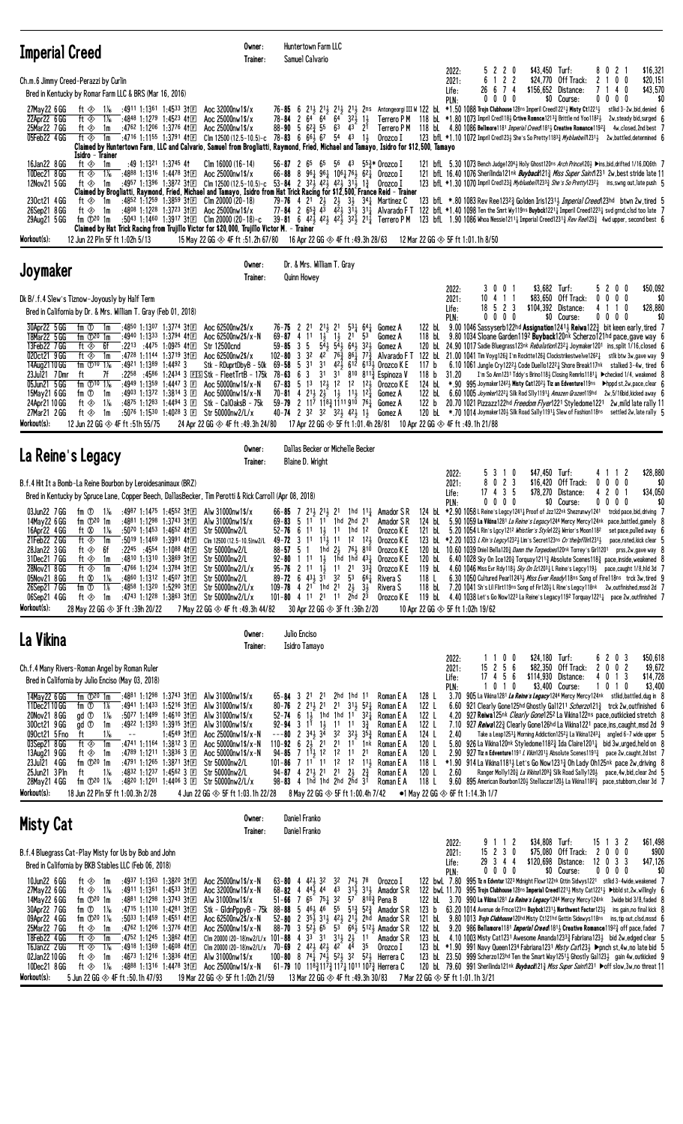| <b>Imperial Creed</b>                                                                                                                                                                                                                                                                                                                                                                                                                                                                                                                                                                                                                                                                                                                                                                                                                                               | Owner:<br>Trainer:                                                                                                                                                                                                                                                                                                                                                                                                                      | Huntertown Farm LLC<br>Samuel Calvario                                                                                                                                                                                                                                                                                                                                                                                                                                                                                                                                                                                                                        |                                                                                                                                                                                                                                                                                                                                                                                                                                                                                                                                                                                                                                                                                                                                                                                                                                                                                                                                                                                                                                                                                                                                                                                                                                                                                                                                                                                                                                                                                                                                                                                                                                                                                                                                                                                                                                                              |                                                                                          |
|---------------------------------------------------------------------------------------------------------------------------------------------------------------------------------------------------------------------------------------------------------------------------------------------------------------------------------------------------------------------------------------------------------------------------------------------------------------------------------------------------------------------------------------------------------------------------------------------------------------------------------------------------------------------------------------------------------------------------------------------------------------------------------------------------------------------------------------------------------------------|-----------------------------------------------------------------------------------------------------------------------------------------------------------------------------------------------------------------------------------------------------------------------------------------------------------------------------------------------------------------------------------------------------------------------------------------|---------------------------------------------------------------------------------------------------------------------------------------------------------------------------------------------------------------------------------------------------------------------------------------------------------------------------------------------------------------------------------------------------------------------------------------------------------------------------------------------------------------------------------------------------------------------------------------------------------------------------------------------------------------|--------------------------------------------------------------------------------------------------------------------------------------------------------------------------------------------------------------------------------------------------------------------------------------------------------------------------------------------------------------------------------------------------------------------------------------------------------------------------------------------------------------------------------------------------------------------------------------------------------------------------------------------------------------------------------------------------------------------------------------------------------------------------------------------------------------------------------------------------------------------------------------------------------------------------------------------------------------------------------------------------------------------------------------------------------------------------------------------------------------------------------------------------------------------------------------------------------------------------------------------------------------------------------------------------------------------------------------------------------------------------------------------------------------------------------------------------------------------------------------------------------------------------------------------------------------------------------------------------------------------------------------------------------------------------------------------------------------------------------------------------------------------------------------------------------------------------------------------------------------|------------------------------------------------------------------------------------------|
| Ch.m.6 Jimmy Creed-Perazzi by Curlin<br>Bred in Kentucky by Romar Farm LLC & BRS (Mar 16, 2016)                                                                                                                                                                                                                                                                                                                                                                                                                                                                                                                                                                                                                                                                                                                                                                     |                                                                                                                                                                                                                                                                                                                                                                                                                                         |                                                                                                                                                                                                                                                                                                                                                                                                                                                                                                                                                                                                                                                               | 5 2 2 0<br>\$43,450 Turf:<br>8021<br>2022:<br>6 1 2 2<br>2021:<br>\$24,770 Off Track:<br>2 1<br>0 <sub>0</sub><br>26 6 7 4<br>7 1 4 0<br>Life:<br>\$156,652 Distance:<br>$0\ 0\ 0\ 0$<br>\$0 Course:<br>PLN:<br>0000                                                                                                                                                                                                                                                                                                                                                                                                                                                                                                                                                                                                                                                                                                                                                                                                                                                                                                                                                                                                                                                                                                                                                                                                                                                                                                                                                                                                                                                                                                                                                                                                                                         | \$16,321<br>\$20,151<br>\$43,570<br>\$0                                                  |
| :4911 1:1361 1:4533 31 $E$<br>27May 22 6 GG<br>ft ◈<br>1 X <sub>6</sub><br>22Apr22 6 GG<br>:4848 1:1279 1:4523 41 E<br>ft ◈<br>$1\%$<br>:4762 1:1206 1:3776 4111<br>25Mar22 7GG<br>ft ⊗<br>1m<br>05Feb22 4 GG<br>ft ⊗<br>1m<br>Isidro - Trainer                                                                                                                                                                                                                                                                                                                                                                                                                                                                                                                                                                                                                     | Aoc 32000nw1\$/x<br>Aoc 25000nw1\$/x<br>Aoc 25000nw1\$/x<br>$:47^{16}$ 1:1155 1:3791 41 $\Box$ Clm 12500 (12.5-10.5)-c 78-83 6 66 $\frac{1}{2}$ 67 54 43 13                                                                                                                                                                                                                                                                             | 78-84 2 64 64<br>64<br>$88-90$ 5 $62\frac{3}{7}$ 55 $63$ 43 $21$                                                                                                                                                                                                                                                                                                                                                                                                                                                                                                                                                                                              | 76-85 6 213 213 213 213 215 2018 Antongeorgi III W 122 bl. *1.50 1088 Trojn Clubhouse 128ns Imperil Creed12213 Nisty Ct12213<br>Terrero P M 118 bL *1.80 1073 Impril Cred1182 Crtive Romnce12133 Brittle nd Yoo11821 2w, steady bid, surged 6<br>$32\frac{1}{2}$ 1<br>Terrero P M 118 bl. 4.80 1086 Bellmore 1181 Imperial Creed 1811 Creative Romance 1192 4 4w, closed, 2nd best 7<br>Orozco I<br>123 bfL *1.10 1072 Impril Cred123} She's So Pretty11833 Mybluebel/1231} 2w, battled, determined 6<br>Claimed by Huntertown Farm, LLC and Calvario, Samuel from Brogliatti, Raymond, Fried, Michael and Tamayo, Isidro for \$12,500, Tamayo                                                                                                                                                                                                                                                                                                                                                                                                                                                                                                                                                                                                                                                                                                                                                                                                                                                                                                                                                                                                                                                                                                                                                                                                               | stikd 3-2w,bid, denied 6                                                                 |
| 16Jan22 8 GG<br>ft ◈<br>:49 1:1321 1:3745 41<br>1m<br>10Dec21 8 GG<br>ft $\otimes$<br>$1\%$<br>:4888 1:1316 1:4478 31 $E$<br>:4957 1:1396 1:3872 3†匡<br>12Nov21 5 GG<br>ft $\otimes$<br>1m<br>230ct21 4 GG<br>ft ≪⊳ 1m<br>26Sep21 8 GG<br>:4808 1:1228 1:3723 31 $E$<br>ft ◈<br>1m<br>fm $\mathbb{D}^{20}$ 1m<br>29Aug21 5 GG<br>Workout(s):<br>12 Jun 22 Pln 5F ft 1:02h 5/13                                                                                                                                                                                                                                                                                                                                                                                                                                                                                      | Clm $16000(16-14)$<br>Aoc 25000nw1\$/x<br>Claimed by Brogliatti, Raymond, Fried, Michael and Tamayo, Isidro from Hat Trick Racing for \$12,500, France Reid - Trainer<br>:4852 1:1259 1:3859 31 $E$ Clm 20000 (20-18)<br>Aoc 25000nw1\$/x<br>:5043 1:1460 1:3917 31 $E$ Clm 20000 (20-18)-c<br>Claimed by Hat Trick Racing from Trujillo Victor for \$20,000, Trujillo Victor M. - Trainer<br>15 May 22 GG $\otimes$ 4F ft :51.2h 67/80 | $56-87$ 2 $65$ $65$ $56$ $43$ $55\frac{3}{4}$ Orozco I<br>66-88 8 961 961 1061 761 621 Orozco I<br>Clm 12500 (12.5-10.5)-c 53-84 2 323 423 423 313 13<br>79-76 4 2 <sup>1</sup> 2 <sup>1</sup> 2 <sup>1</sup> 2 <sup>1</sup> 3 <sup>1</sup> 3 <sup>4</sup> <sup>1</sup> Martinez C<br>77-84 2 $65\frac{3}{4}$ 4 <sup>3</sup> $4\frac{2}{3}$ $3^{1}\frac{1}{2}$ 31 <sup>1</sup> / <sub>4</sub> Alvarado FT<br>39-81 6 42 $\frac{1}{2}$ 42 $\frac{1}{2}$ 42 $\frac{1}{2}$ 32 $\frac{1}{2}$ 21 $\frac{1}{4}$ Terrero PM<br>16 Apr 22 GG $\otimes$ 4F ft :49.3h 28/63                                                                                             | 121 bfl. 5.30 1073 Bench Judge1204} Holy Ghost120ns Arch Prince120} >ins, bid, drifted 1/16, DQ6th 7<br>121 bfL 16.40 1076 Sherilinda121nk Buyback121 <sup>3</sup> Miss Super Saint1231 2w, best stride late 11<br>123 bfL *1.30 1070 Impril Cred1233 Mybluebel/12333 She's So Pretty12323 ins, swng out, late push 5<br>Orozco I<br>123 bfL *.80 1083 Rev Ree1232 <sub>4</sub> Golden Iris12314 <i>Imperial Creed</i> 123hd btwn 2w, tired 5<br>122 bfL $*1.40$ 1098 Ten the Smrt Wy119ns Buybck1221 <sub>4</sub> Imperil Creed1223 <sub>4</sub> svd grnd, clsd too late 7<br>123 bfl. 1.90 1086 Whoa Nessie1211 <sub>4</sub> Imperial Creed1231 <sub>4</sub> Rev Ree123 <sub>4</sub> 4wd upper, second best 6<br>12 Mar 22 GG $\otimes$ 5F ft 1:01.1h 8/50                                                                                                                                                                                                                                                                                                                                                                                                                                                                                                                                                                                                                                                                                                                                                                                                                                                                                                                                                                                                                                                                                                 |                                                                                          |
| Joymaker                                                                                                                                                                                                                                                                                                                                                                                                                                                                                                                                                                                                                                                                                                                                                                                                                                                            | Owner:<br>Trainer:                                                                                                                                                                                                                                                                                                                                                                                                                      | Dr. & Mrs. William T. Gray<br>Quinn Howey                                                                                                                                                                                                                                                                                                                                                                                                                                                                                                                                                                                                                     |                                                                                                                                                                                                                                                                                                                                                                                                                                                                                                                                                                                                                                                                                                                                                                                                                                                                                                                                                                                                                                                                                                                                                                                                                                                                                                                                                                                                                                                                                                                                                                                                                                                                                                                                                                                                                                                              |                                                                                          |
| Dk B/.f.4 Slew's Tiznow-Joyously by Half Term<br>Bred in California by Dr. & Mrs. William T. Gray (Feb 01, 2018)<br>30Apr22 5 GG<br>fm ①<br>:4850 1:1307 1:3774 311日<br>1m<br>18Mar22 5 GG<br>fm $\mathbb{D}^{20}$ 1m<br>:4940 1:1333 1:3794 411回<br>:2213 :4475 1:0925 411<br>13Feb22 7GG<br>ft ◈<br>6f<br>020ct21 9 GG<br>ft ◈<br>:4728 1:1144 1:3719 3†国<br>1m<br>14Aug2110 GG<br>fm $\textcircled{10}$ 1%<br>$:4921$ 1:1389 1:4492 3<br>23Jul21 7Dmr<br>ft<br>7f<br>fm $\Phi$ <sup>10</sup> 1 <sup>%</sup><br>05Jun21 5 GG<br>:4949 1:1359 1:4447 3 $E$<br>fm ①<br>:4903 1:1372 1:3814 3 国<br>15May21 6 GG<br>1m<br>24Apr21 10 GG<br>ft ◈<br>1‰<br>:48 <sup>75</sup> 1:12 <sup>83</sup> 1:4494 3 $E$<br>:5076 1:1530 1:4028 3 $\Box$<br>27Mar21 2GG<br>ft ◈<br>1m<br>Workout(s):<br>12 Jun 22 GG $\otimes$ 4F ft :51h 55/75                                     | Aoc 62500nw2\$/x<br>Aoc 62500nw2\$/x-N<br><b>Str 12500cnd</b><br>Aoc 62500nw2\$/x<br>Stk - RDuprtDbyB - 50k<br>$:22^{58}$ $:45^{86}$ 1:2434 3 EISStk - FleetTrtB - 175k 78-63 6<br>Aoc 50000nw1\$/x-N<br>Aoc 50000nw1\$/x-N<br>Stk - CalOaksB - 75k<br>Str 50000nw2/L/x<br>24 Apr 22 GG $\otimes$ 4F ft :49.3h 24/80                                                                                                                    | $2^{11}$ <sub>2</sub> 2 <sup>1</sup><br>$76 - 75$ 2 21<br>$1\frac{1}{2}$ $1\frac{1}{2}$<br>$69 - 87$ 4 11<br>$59 - 85$ 3 5<br>$102 - 80$ 3 32<br>$42^{\degree}$ 76 $\frac{3}{4}$ 86 $\frac{1}{4}$ 77 $\frac{3}{4}$<br>5 31<br>3 <sup>1</sup><br>$69 - 58$<br>3<br>3 <sup>1</sup><br>67-83 5 13 121 12 12 121 0rozco K E<br>70-81 4 2 <sup>1</sup> / <sub>2</sub> 2 <sup>1</sup> / <sub>2</sub> 1 <sup>1</sup> / <sub>2</sub> 1 <sup>2</sup> / <sub>4</sub><br>$59 - 79$ 2 $11^{7}$ $118^{3}_{4}$ $11191^{0}$ $76^{1}_{4}$<br>40-74 2 3 <sup>2</sup> 3 <sup>2</sup> 3 <sup>2</sup> 4 <sup>2</sup> 1 <sup>1</sup><br>17 Apr 22 GG $\otimes$ 5F ft 1:01.4h 28/81 | \$3,682 Turf:<br>3001<br>5200<br>2022:<br>10 4 1 1<br>\$83,650 Off Track:<br>$0\ 0\ 0\ 0$<br>2021:<br>$18$ 5 2 3<br>\$104,392 Distance:<br>4 1 1 0<br>Life:<br>$0\ 0\ 0\ 0$<br>\$0 Course:<br>$0\,0\,0\,0$<br>PLN:<br>9.00 1046 Sassyserb122hd Assignation1241 $\frac{1}{2}$ Reiwa122 $\frac{3}{4}$ bit keen early, tired 7<br>122 bL<br>$5^3\frac{1}{4}$ 64 $\frac{1}{4}$ Gomez A<br>9.80 1034 Sloane Garden1192 Buyback120nk Scherzo121hd pace, gave way 6<br>2 <sup>1</sup><br>53<br>118 bL<br>Gomez A<br>$5\overline{4}$ $\overline{5}$ $\overline{4}$ $\overline{5}$ $\overline{6}$ $\overline{4}$ $\overline{5}$ $\overline{6}$ $\overline{4}$ $\overline{5}$ $\overline{2}$ $\overline{5}$ $\overline{2}$ $\overline{5}$<br>120 bl 24.90 1017 Sadie Bluegrass123nk Rebalation12321 Joymaker1201 ins, split 1/16, closed 6<br>Gomez A<br>Alvarado FT 122 bl 21.00 1041 Tim Voyg126 $\frac{3}{4}$ I'm Rocktte126 $\frac{3}{4}$ Clockstrikestwelve126 <sup>2</sup> $\frac{1}{4}$ stlk btw 3w, gave way 9<br>$42\frac{7}{2}$ 612 6131 Orozco K E<br>6.10 1061 Jungle Cry122 <sup>21</sup> Code Duello122 <sup>2</sup> $\frac{1}{4}$ Shore Break117 <sup>nk</sup> stalked 3-4w, tired 6<br>117 $b$<br>31 810 8113 Espinoza V<br>I'm So Ann1231 Tddy's Brino118} Closing Remrks1181} ▶ checked 1/4, weakened 8<br>118 b<br>31.20<br>124 bL<br>*,90 $\,$ 995 Joymaker 1242 $\frac{1}{2}$ Misty Cat1202 $\frac{1}{2}$ Tiz an Edventure 119ns → hppd st,2w,pace,clear $\,$ 6<br>122 bl 6.60 1005 Joymker1222 Silk Rod Slly1191 Amazen Grazen119hd 2w, 5/16bid, kicked away 6<br>Gomez A<br>122 b 20.70 1021 Pizzazz122hd <i>Freedom Flyer</i> 1221 Styledome1221 2w.mild late rally 11<br>Gomez A<br>120 bl. *.70 1014 Joymaker1201 Silk Road Sally11911 Slew of Fashion118ns settled 2w, late rally 5<br>Gomez A<br>10 Apr 22 GG $\otimes$ 4F ft :49.1h 21/88 | \$50,092<br>\$0<br>\$28,880<br>\$0                                                       |
| La Reine's Legacy                                                                                                                                                                                                                                                                                                                                                                                                                                                                                                                                                                                                                                                                                                                                                                                                                                                   | Owner:                                                                                                                                                                                                                                                                                                                                                                                                                                  | Dallas Becker or Michelle Becker                                                                                                                                                                                                                                                                                                                                                                                                                                                                                                                                                                                                                              |                                                                                                                                                                                                                                                                                                                                                                                                                                                                                                                                                                                                                                                                                                                                                                                                                                                                                                                                                                                                                                                                                                                                                                                                                                                                                                                                                                                                                                                                                                                                                                                                                                                                                                                                                                                                                                                              |                                                                                          |
| B.f.4 Hit It a Bomb-La Reine Bourbon by Leroidesanimaux (BRZ)<br>Bred in Kentucky by Spruce Lane, Copper Beech, DallasBecker, Tim Perotti & Rick Carroll (Apr 08, 2018)<br>03Jun22 7 GG<br>fm $\mathbb{D}^{20}$ 1m<br>14May22 6 GG<br>ft Ø<br>16Apr22 4 GG<br>$1\%$<br>$:50^{70}$ 1:1453 1:4652 41 $E$<br>21Feb22 2GG<br>ft ⊗<br>$:50^{19}$ 1:1469 1:3991 41 $E$<br>1m<br>28Jan22 3 GG<br>ft ⊗<br>6f<br>$:22^{45}$ $:45^{54}$ 1:1088 41 E<br>31Dec21 7 GG<br>:4810 1:1310 1:3869 31 $E$<br>ft ◈<br>1m<br>28Nov21 8 GG<br>ft ◈<br>:4766 1:1234 1:3784 3†国<br>1m<br>:4860 1:1312 1:4507 31回<br>05Nov21 8 GG<br>ft Ø<br>$1\%$<br>26Sep21 7 GG<br>fm ①<br>1%<br>:4858 1:1320 1:5290 311 E<br>06Sep21 4 GG<br>ft ◈<br>:4743 1:1228 1:3863 3111<br>1m<br>Workout(s):<br>28 May 22 GG $\otimes$ 3F ft :39h 20/22                                                           | Trainer:<br>fm $\overline{O}$ 1 <sup>%</sup> :4987 1:1475 1:4552 31 El Alw 31000nw1\$/x<br>:4881 1:1298 1:3743 31 E Alw 31000nw1\$/x<br>Str 50000nw2/L<br>Clm 12500 (12.5-10.5)nw2/L<br>Str 50000nw2/L<br>Str 50000nw2/L<br>Str 50000nw2/L/x<br>Str 50000nw2/L<br>Str 50000nw2/L/x<br>Str 50000nw2/L/x<br>7 May 22 GG $\otimes$ 4F ft:49.3h 44/82                                                                                       | Blaine D. Wright<br>69-83 5 11 11 1hd 2hd 21 Amador SR<br>$1\frac{1}{2}$<br>$52 - 76$<br>6 11<br>$1\frac{11}{2}$ 11 12<br>49-72 3 11<br>$88 - 57$ 5 1<br>$1 \; 11$<br>92-80<br>$95 - 76$ 2 1 $1\frac{1}{2}$<br>$89 - 72$ 6 $43\frac{1}{2}$ 31<br>109-78 4 21 1hd 21<br>101-80 4 11 21 11<br>30 Apr 22 GG $\otimes$ 3F ft :36h 2/20                                                                                                                                                                                                                                                                                                                            | \$47,450 Turf:<br>5 3 1 0<br>4112<br>2022:<br>8 0 2 3<br>\$16,420 Off Track:<br>$0\ 0\ 0\ 0$<br>2021:<br>17 4 3 5<br>\$78,270 Distance:<br>42<br>0 <sub>1</sub><br>Life:<br>$0\ 0\ 0\ 0$<br>$0\,0\,0\,0$<br>\$0 Course:<br>PLN:<br>66-85 7 213 213 21 1hd 113 Amador SR 124 bl. *2.90 1058 L Reine's Legcy12413 Proof of Jzz122nk Shezrunwy1241 trckd pace, bid, driving 7<br>124 bl 5.90 1059 La Vikina1281 La Reine's Legacy1244 Mercy Mercy124nk pace, battled, gamely 8<br>Orozco K E<br>5.20 1054 L Rin's Lgcy1212 Whistler's Style1223 Wrrior's Moon1182<br>11 1hd 12<br>121 bL<br>123 bl *2.20 1033 L Rin's Legcy1232 Lim's Secret123ns Cn'thelpfllin1231 }<br>1 <sup>2</sup> } Orozco K E<br>1hd $2\frac{1}{2}$ 761 810<br>120 bl 10.60 1039 Dniel Bella1203 Damn the Torpedoes120nk Torrey's Girl1201 prss, 2w, gave way 8<br>Orozco K E<br>$1\frac{1}{2}$ 1hd 1hd $43\frac{1}{4}$<br>6.40 1028 Sky On Ice120 $\frac{3}{2}$ Torquay1211 $\frac{3}{4}$ Absolute Scenes118 $\frac{3}{4}$ pace, inside, weakened 8<br>Orozco K E<br>120 bL<br>$11 \t21 \t33\frac{3}{4}$<br>Orozco K E<br>119 bL<br>4.60 1046 Miss Evr Rdy118 $\frac{1}{2}$ Sky On Ic1203 $\frac{1}{4}$ L Reine's Legcy119 $\frac{1}{2}$ pace, caught 1/8, hld 3d 7<br>$3^2$ $5^3$ $6^64$<br>6.30 1050 Cultured Pearl12433 Miss Ever Ready118ns Song of Fire118ns trck 3w, tired 9<br>Rivera S<br>118 L<br>$2\frac{1}{2}$ $3\frac{1}{2}$<br>7.20 1041 Sh's Lil Flirt119ns Song of Fir120½ L Rine's Legcy118nk 2w,outfinished,mssd 2d 7<br>Rivera S<br>118 bL<br>$2\bar{h}$ d $2\bar{3}$<br>Orozco K E<br>4.40 1038 Let's Go Now1223 La Reine's Legacy1192 Torquay1221 $\frac{1}{4}$ pace 2w, outfinished 7<br>119 bL<br>10 Apr 22 GG $\otimes$ 5F ft 1:02h 19/62                                                                                                                        | \$28,880<br>\$0<br>\$34,050<br>\$0<br>set pace, pulled away 6<br>pace,rated,kick clear 5 |
| La Vikina                                                                                                                                                                                                                                                                                                                                                                                                                                                                                                                                                                                                                                                                                                                                                                                                                                                           | Owner:<br>Trainer:                                                                                                                                                                                                                                                                                                                                                                                                                      | Julio Enciso<br>Isidro Tamayo                                                                                                                                                                                                                                                                                                                                                                                                                                                                                                                                                                                                                                 |                                                                                                                                                                                                                                                                                                                                                                                                                                                                                                                                                                                                                                                                                                                                                                                                                                                                                                                                                                                                                                                                                                                                                                                                                                                                                                                                                                                                                                                                                                                                                                                                                                                                                                                                                                                                                                                              |                                                                                          |
| Ch.f.4 Many Rivers-Roman Angel by Roman Ruler<br>Bred in California by Julio Enciso (May 03, 2018)<br>14May 22 6 GG<br>fm $\mathbb{D}^{20}$ 1m<br>:4881 1:1298 1:3743 31E<br>11Dec2110 GG<br>:4941 1:1433 1:5216 31 $E$<br>fm ①<br>1%<br>20Nov21 8 GG<br>$1\%$<br>gd <sup>①</sup><br>$:50^{77}$ 1:1499 1:4610 31 $E$<br>gd <sup>①</sup><br>:4922 1:1393 1:3915 31 $E$<br>300ct21 9GG<br>1m<br>$1\%$<br>090ct21 5 Fno<br>ft<br>$ -$<br>03Sep21 8 GG<br>ft ◈<br>1m<br>:4741 1:1164 1:3812 3 $\Box$<br>13Aug21 9 GG<br>ft ◈<br>1m<br>:4789 1:1211 1:3836 3 $E$<br>23Jul21 4 GG<br>fm $\mathbb{D}^{20}$ 1m<br>:4791 1:1265 1:3871 31 $E$<br>25Jun21 3 Pln<br>1‰<br>:4832 1:1237 1:4562 3 $E$<br>ft<br>fm $\Phi^{20}$ 1 <sup>%</sup><br>:48 <sup>20</sup> 1:12 <sup>01</sup> 1:44 <sup>06</sup> 3 $E$<br>28May21 4 GG<br>Workout(s):<br>18 lun 22 Pln 5F ft 1.00 3h 2/28 | Alw 31000nw1\$/x<br>Alw 31000nw1\$/x<br>Alw 31000nw1\$/x<br>Alw 31000nw1\$/x<br>Aoc 25000nw1\$/x-N<br>$1:45^{49}31E$<br>Aoc 50000nw1\$/x-N<br>Aoc $50000$ nw $1$ \$/x-N<br>Str 50000nw2/L<br>Str 50000nw2/L<br>Str 50000nw2/L/x                                                                                                                                                                                                         | $65 - 84$ 3 21 21 2hd 1hd 11<br>80-76 2 $2^{11}$ $2^{1}$ $2^{1}$ $2^{1}$<br>52-74 6 13 1hd 1hd 11 321<br>$1\frac{1}{2}$<br>$92 - 94$ 3 11<br>$1^{1}$ 11<br>3 <sup>2</sup><br>$--80$ 2 34 $\frac{1}{2}$ 3 <sup>4</sup><br>110-92 6 $2\frac{1}{2}$ 21 21 11 1nk<br>$94 - 85$ 7 1 $1\frac{1}{2}$ 1 $2$ 1 $2$<br>$101 - 86$ 7 $11$ 11 $12$ 12 $11\frac{1}{2}$<br>$94 - 87$ 4 $2^{11}$ , $2^{1}$ $2^{1}$ $2^{1}$<br>98-83 4 1hd 1hd 2hd 2hd 31                                                                                                                                                                                                                     | 1100<br>\$24,180 Turf:<br>6 2 0 3<br>2022:<br>15 2 5 6<br>\$82,350 Off Track:<br>0 <sub>2</sub><br>2<br>0<br>2021:<br>$17$ 4 5 6<br>4 0 1 3<br>\$114,930 Distance:<br>Life:<br>1010<br>\$3,400 Course:<br>101<br>0<br>PLN:<br>128 L<br>3.70 905 La Vikina 1281 La Reine's Legacy 1244 Mercy Mercy 124nk stlkd, battled, dug in 8<br>Roman E A<br>$3^{11}$ 5 <sup>2</sup> <sup>1</sup><br>122 L<br>6.60 921 Clearly Gone125hd Ghostly Gal1211 Scherzo121 <sup>3</sup> trck 2w, outfinished 6<br>Roman E A<br>4.20 927 Reiwa125nk <i>Clearly Gone</i> 125 <sup>2</sup> La Vikina122ns pace, outkicked stretch 8<br>Roman E A<br>122 L<br>927 Reiwa1223 Clearly Gone126hd La Vikina1221 pace, ins, caught, msd 2d 9<br>$3\frac{3}{4}$<br>Roman E A<br>122 L<br>7.10<br>$3^2\frac{1}{2}$ $3^5\frac{3}{4}$<br>124 L<br>Roman E A<br>2.40<br>Take a Leap1253 $1/4$ Morning Addiction1252 $1/2$ La Vikina1243 $1/4$ angled 6-7 wide upper 5<br>Roman E A<br>120 L<br>5.80 926 La Vikina 120nk Styledome 118 <sup>2</sup> / <sub>2</sub> Ida Claire 1201 <sub>4</sub> bid 3w, urged, held on 8<br>2.90 927 Tiz n Edventure1191 L Vikin12013 Absolute Scenes11913 pace 2w, caught, 2d bst 7<br>1 <sup>1</sup><br>2 <sup>1</sup><br>Roman E A<br>120 L<br>Roman E A<br>118 L<br>$*1.90$ 914 La Vikina 1181 Let's Go Now 1231 $\frac{3}{4}$ Oh Lady Oh 125nk pace 2w, driving 8<br>$2\frac{3}{4}$<br>Roman E A<br>120 L<br>2.60<br>Ranger Molly 120 $\frac{3}{4}$ <i>La Vikina</i> 120 <sup>93</sup> / <sub>4</sub> Silk Road Sally 120 $\frac{1}{2}$ pace, 4w, bid, clear 2nd 5<br>118 L<br>9.60 895 American Bourbon1201 Stellaczar1201 La Vikina11823 pace, stubborn, clear 3d 7<br>Roman E A<br>4. Ium 22 GG ⊘ SE ft 1.03 1h 22/28 8 May 22 GG ⊘ SE ft 1.00 4h 7/42 ● 1 May 22 GG ⊘ 6E ft 1.14 3h 1/7                                                               | \$50,618<br>\$9,672<br>\$14,728<br>\$3,400                                               |

| <b>Misty Cat</b>                                                                                                                                                                                                                                                                                                                                                                                                                                                                                                                                                                                                                                                                  | Owner:<br>Trainer:                                                                                                                                                                                             | Daniel Franko<br>Daniel Franko                                                                                                                                                                                                                                                                                                                                                                                                                                                                                                   |                                                                                                            |                                                |                                                                                |                                                                                                                                                                                                                                                                                                                                                                                                                                                                                                                                                                                                                                                                                                                                                                                                                                                                                                                                                                             |
|-----------------------------------------------------------------------------------------------------------------------------------------------------------------------------------------------------------------------------------------------------------------------------------------------------------------------------------------------------------------------------------------------------------------------------------------------------------------------------------------------------------------------------------------------------------------------------------------------------------------------------------------------------------------------------------|----------------------------------------------------------------------------------------------------------------------------------------------------------------------------------------------------------------|----------------------------------------------------------------------------------------------------------------------------------------------------------------------------------------------------------------------------------------------------------------------------------------------------------------------------------------------------------------------------------------------------------------------------------------------------------------------------------------------------------------------------------|------------------------------------------------------------------------------------------------------------|------------------------------------------------|--------------------------------------------------------------------------------|-----------------------------------------------------------------------------------------------------------------------------------------------------------------------------------------------------------------------------------------------------------------------------------------------------------------------------------------------------------------------------------------------------------------------------------------------------------------------------------------------------------------------------------------------------------------------------------------------------------------------------------------------------------------------------------------------------------------------------------------------------------------------------------------------------------------------------------------------------------------------------------------------------------------------------------------------------------------------------|
| B.f.4 Bluegrass Cat-Play Misty for Us by Bob and John<br>Bred in California by BKB Stables LLC (Feb 06, 2018)                                                                                                                                                                                                                                                                                                                                                                                                                                                                                                                                                                     |                                                                                                                                                                                                                |                                                                                                                                                                                                                                                                                                                                                                                                                                                                                                                                  |                                                                                                            | 2022:<br>2021:<br>Life:<br>PIN:                | \$34.808<br>9 1 1<br>- 2<br>$15$ 2 3 0<br>\$75.080<br>29 3 4 4<br>$0\,0\,0\,0$ | \$61,498<br>$15 \t1 \t3 \t2$<br>Turf:<br>Off Track:<br>2000<br>\$900<br>\$120,698 Distance:<br>$12 \t0 \t3 \t3$<br>\$47.126<br>\$0 Course:<br>$0\,0\,0\,0$<br>\$(                                                                                                                                                                                                                                                                                                                                                                                                                                                                                                                                                                                                                                                                                                                                                                                                           |
| $:4937$ 1:1363 1:3820 31FT<br>10Jun22 6 GG<br>ft $\otimes$<br>1m<br>27May 22 6 GG<br>$1\%$<br>$:4911$ 1:1361 1:4533 31FT<br>ft ⊗<br>:4881 1:1298 1:3743 31 $E$<br>14May22 6 GG<br>fm $\mathbb{D}^{20}$ 1m<br>30Apr22 7GG<br>:4715 1:1130 1:4281 31日<br>$1\%$<br>fm ①<br>09Apr22 4 GG<br>fm $\Phi$ <sup>20</sup> 1 <sup>%</sup><br>$:5033$ 1:1459 1:4551 41F<br>25Mar22 7 GG<br>$:4762$ 1:1206 1:3776 41 F<br>ft ⊗<br>1m<br>18Feb22 4GG<br>:4752 1:1245 1:3862 411日<br>ft ⊗<br>1m<br>16Jan22 2GG<br>:4918 1:1369 1:4608 41F<br>$1\%$<br>ft $\otimes$<br>02Jan22 10 GG<br>:4673 1:1216 1:3836 41F<br>ft $\otimes$<br>1m<br>10Dec21 8 GG<br>$1\%$<br>:4888 1:1316 1:4478 31日<br>ft ◈ | Aoc $25000$ nw $1$ \$/x-N<br>Aoc 32000nw1\$/x-N<br>Alw 31000nw1\$/x<br>Stk - GidnPopvB - 75k<br>Aoc 62500nw2\$/x-N<br>Aoc 25000nw1\$/x-N<br>Clm 20000 (20-18)nw2/L/x<br>Alw 31000nw1\$/x<br>Aoc 25000nw1\$/x-N | $63 - 80$ 4 $42\frac{1}{2}$ $32$ $32$<br>68-82 4 441 44 43 311 311 Amador SR<br>51-66 7 65 751 32 57 8103 Pena B<br>88-88 5 463 46 55<br>52-80 2 354 314 424 214 2hd Amador SR<br>88-70 3 524 65 53 664 5124 Amador SR<br>Clm 20000 (20-18)nw2/L/x 101-88 4 3 <sup>3</sup> 3 <sup>1</sup> 3 <sup>1</sup> 3 <sup>1</sup> 2 <sup>3</sup> 1 <sup>1</sup><br>$70 - 69$ 2 $42\frac{1}{2}$ $42\frac{1}{2}$ $42$ $44$<br>$100 - 80$ 8 $74\frac{1}{2}$ $74\frac{1}{2}$ $52\frac{1}{2}$ 32<br>61-79 10 1183 1173 1174 1011 1073 Herrera C | 741, 78<br>Orozco I<br>$5^{13}$ , $5^{23}$ , Amador SR<br>Amador S R<br>35<br>Orozco I<br>521<br>Herrera C | 122 bl.<br>123 b<br>121 bL<br>122 bl<br>123 bL |                                                                                | 122 bwl 7.80 995 Tz n Edvntur 1223 Mdnight Flowr122nk Gttin Sidwys1221 stlkd 3-4wide, weakened<br>122 bwl. 11.70 995 Troin Clubhouse 128ns Imperial Creed12213 Misty Cat12213 > bbld st.2w.willingly {<br>3.70 990 La Vikina 1281 <i>La Reine's Legacy</i> 1244 Mercy Mercy 124nk 3wide bid 3/8, faded {<br>$63.201014$ Avenue de Frnce123ns Buybck12313 Northwest Factor1233 ins gain, no final kick $\{$<br>9.80 1013 Troin Clubhouse 120hd Misty Ct121hd Gettin Sidewys118ns ins.tip out.clsd.mssd (<br>9.20 986 Bellamore1181 <i>Imperial Creed</i> 1811 Creative Romance11923 off pace, faded<br>4.10 1003 Misty Cat1231 Awesome Amanda12333 Fabriana1233 bid 2w, edged clear 5<br>123 bL *1.90 991 Navy Queen1234 Fabriana1231 Misty Cat1231 > pnch st.4w,no late bid 5<br>123 bl 23.50 999 Scherzo123hd Ten the Smart Way1251; Ghostly Gal123; gain 4w, outkicked 9<br>120 bL 79.60 991 Sherilinda121nk Buyback1213 Miss Super Saint1231 ▶off slow, 3w, no threat 11 |
| Workout(s):<br>5 Jun 22 GG $\otimes$ 4F ft :50.1h 47/93                                                                                                                                                                                                                                                                                                                                                                                                                                                                                                                                                                                                                           | 19 Mar 22 GG $\otimes$ 5F ft 1:02h 21/59                                                                                                                                                                       | 13 Mar 22 GG $\otimes$ 4F ft:49.3h 30/83                                                                                                                                                                                                                                                                                                                                                                                                                                                                                         |                                                                                                            | 7 Mar 22 GG $\otimes$ 5F ft 1:01.1h 3/21       |                                                                                |                                                                                                                                                                                                                                                                                                                                                                                                                                                                                                                                                                                                                                                                                                                                                                                                                                                                                                                                                                             |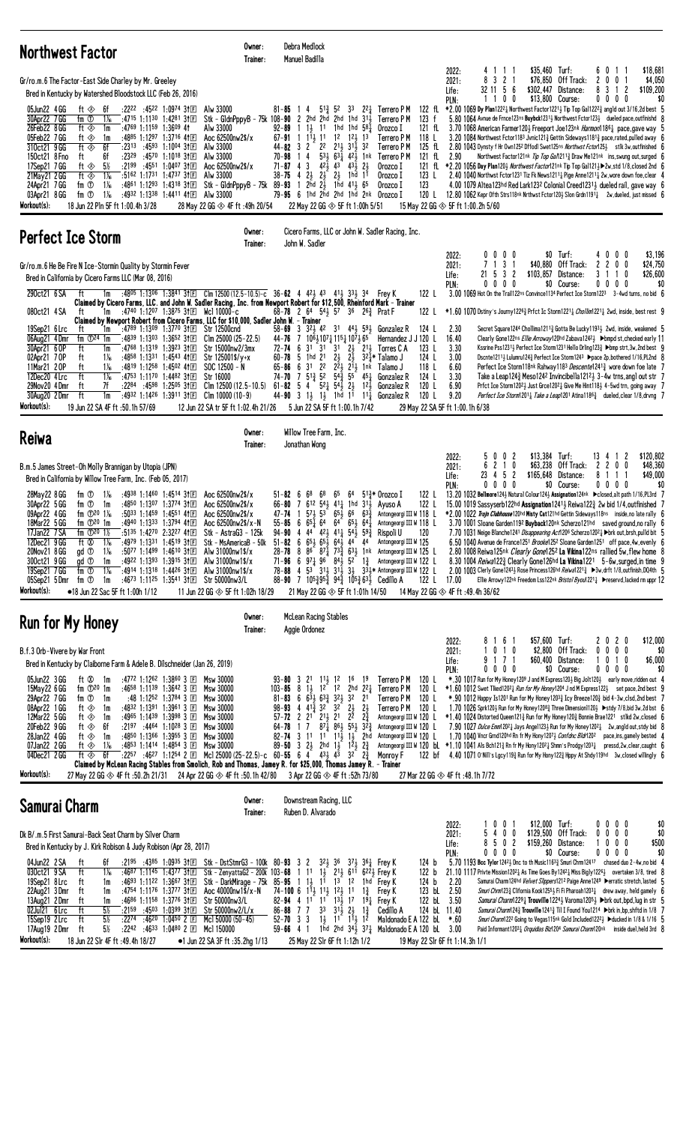| <b>Northwest Factor</b>                                                                                                                                                                                                                                                                                                                                                                                                                                                                                                                                                                                                                                                                                                                                                                                                                                                                                                                                                                                                                                                                                                                                | Owner:<br>Trainer:                                                                                                                                                                                                                                                   | Debra Medlock<br>Manuel Badilla                                                                                                                                                                                                                                                                                                                                                                                                                                                                                            |                                                                                                                                                                                                                                                                     |                                                                                                                                                                                                                                                                                                                                                        |                                                                                                                                                                                                      |                                                                                                                                                                                                                                                                                                                                                                                                                                                                                                                                                                                                                                                                                                                                                                                                                                                                                                                                                                                                                                                                                                                  |                                                                                                                                                       |
|--------------------------------------------------------------------------------------------------------------------------------------------------------------------------------------------------------------------------------------------------------------------------------------------------------------------------------------------------------------------------------------------------------------------------------------------------------------------------------------------------------------------------------------------------------------------------------------------------------------------------------------------------------------------------------------------------------------------------------------------------------------------------------------------------------------------------------------------------------------------------------------------------------------------------------------------------------------------------------------------------------------------------------------------------------------------------------------------------------------------------------------------------------|----------------------------------------------------------------------------------------------------------------------------------------------------------------------------------------------------------------------------------------------------------------------|----------------------------------------------------------------------------------------------------------------------------------------------------------------------------------------------------------------------------------------------------------------------------------------------------------------------------------------------------------------------------------------------------------------------------------------------------------------------------------------------------------------------------|---------------------------------------------------------------------------------------------------------------------------------------------------------------------------------------------------------------------------------------------------------------------|--------------------------------------------------------------------------------------------------------------------------------------------------------------------------------------------------------------------------------------------------------------------------------------------------------------------------------------------------------|------------------------------------------------------------------------------------------------------------------------------------------------------------------------------------------------------|------------------------------------------------------------------------------------------------------------------------------------------------------------------------------------------------------------------------------------------------------------------------------------------------------------------------------------------------------------------------------------------------------------------------------------------------------------------------------------------------------------------------------------------------------------------------------------------------------------------------------------------------------------------------------------------------------------------------------------------------------------------------------------------------------------------------------------------------------------------------------------------------------------------------------------------------------------------------------------------------------------------------------------------------------------------------------------------------------------------|-------------------------------------------------------------------------------------------------------------------------------------------------------|
| Gr/ro.m.6 The Factor-East Side Charley by Mr. Greeley<br>Bred in Kentucky by Watershed Bloodstock LLC (Feb 26, 2016)<br>$:22^{22}:45^{22}:1:09^{74}3$<br>05Jun22 4 GG<br>ft ⊗<br>-6f<br>30Apr22 7 GG<br>fm ①<br>:4715 1:1130 1:4281 31 $E$<br>$1\%$<br>26Feb22 8 GG<br>ft $\otimes$<br>$:4769$ 1:1159 1:3609 41<br>1m<br>05Feb22 7GG<br>:4885 1:1297 1:3716 41 $E$<br>ft ◈<br>1m<br>ft $\circledast$<br>6f<br>310ct21 9 GG<br>:23 <sup>13</sup> :45 <sup>93</sup> 1:10 <sup>04</sup> 311回<br>ft<br>6f<br>$:23^{29}$ $:45^{70}$ 1:1018 31 $E$<br>150ct21 8 Fno<br>17Sep21 7 GG<br>ft $\otimes$<br>5½<br>:2199:4551:1:0407.3<br>$1\%$<br>21May 21 2 GG<br>ft $\otimes$<br>:5162 1:1731 1:4737 31 $E$<br>$1\%$<br>24Apr21 7GG<br>fm ①<br>:4861 1:1293 1:4318 31 $\mathbb{E}$<br>03Apr21 8 GG<br>fm ①<br>$1\%$<br>:4932 1:1338 1:4411 41 $\mathbb{E}$<br>Workout(s):<br>18 Jun 22 Pln 5F ft 1:00.4h 3/28                                                                                                                                                                                                                                                   | Alw 33000<br>Stk - GldnPppyB - 75k 108-90 2 2hd 2hd 2hd 1hd 311<br>Alw 33000<br>Aoc 62500nw2\$/x<br>Alw 33000<br>Alw 33000<br>Aoc 62500nw2\$/x<br>Alw 33000<br>Stk – G1dnPppyB – 75k<br>Alw 33000<br>28 May 22 GG $\otimes$ 4F ft:49h 20/54                          | $5^{13}$ 52<br>$81 - 85$<br>4<br>$1 \frac{11}{2}$ 11<br>92-89<br>$67-91$ 1 $1\overline{1}$ 1 $1$ 12 $1\overline{2}$ 13<br>$44 - 82$ 3 2<br>$1\quad 4$<br>70-98<br>$71 - 87$ 4 3<br>4 $2\frac{1}{2}$ $2\frac{1}{2}$ $2\frac{1}{2}$ 1hd<br>$38 - 75$<br>89-93<br>79-95 6 1hd 2hd 2hd 1hd 2nk Orozco I<br>22 May 22 GG $\otimes$ 5F ft 1:00h 5/51                                                                                                                                                                             | 33<br>1hd 1hd $58\frac{1}{4}$<br>$2^2$ $2^{11}$ $3^{11}$ $3^2$<br>$53\frac{1}{2}$ $63\frac{1}{4}$ $42\frac{1}{2}$ 1nk<br>$42\frac{1}{2}$ $43\frac{1}{2}$ $43\frac{1}{2}$ $2\frac{1}{2}$<br>11<br>1 $2\bar{h}d$ $2\bar{3}$ 1 $\bar{h}d$ $41\bar{3}$ $65$             | 22 $\frac{1}{4}$ Terrero PM<br>Terrero P M<br>123 f<br>Orozco I<br>121 fL<br>Terrero P M<br>118 L<br>Terrero P M<br>125 fL<br>Terrero P M<br>121 fL<br>Orozco I<br>Orozco I<br>123 L<br>123<br>Orozco I<br>120 L                                                                                                                                       | 4111<br>2022:<br>3 2 1<br>8<br>2021:<br>32 11 5 6<br>Life:<br>1100<br>PLN:<br>2.90<br>15 May 22 GG $\otimes$ 5F ft 1:00.2h 5/60                                                                      | \$35,460 Turf:<br>\$76,850 Off Track:<br>\$302,447 Distance:<br>\$13,800 Course:<br>122 fl. *2.00 1069 Dy Plan1222 } Northwest Factor1221 } Tip Top Gal1222 $\frac{3}{4}$ angld out 3/16,2d best 5<br>5.80 1064 Avnue de Frnce123ns Buybck12313 Northwest Fctor1233 dueled pace, outfinishd 8<br>3.70 1068 American Farmer120} Freeport Joe123nk Harmon11861 pace, gave way 5<br>3.20 1084 Northwest Fctor118 <sup>3</sup> Jynic121 <sup>3</sup> Gettin Sideways118 <sup>13</sup> / <sub>2</sub> pace, rated, pulled away 6<br>2.80 1043 Dynsty f Hr Own125 <sup>2</sup> Dffodl Swet125ns Northwst Fctor1253 stlk 3w,outfinished 6<br>Northwest Factor121nk Tip Top Ga/12113 Draw Me121nk ins, swung out, surged 6<br>121 fl *2.20 1056 Day Plan1203 Northwest Factor121nk Tip Top Gal1213 > 2w, std 1/8, closed 2nd 6<br>2.40 1040 Northwst Fctor1231 Tiz Fk News12111 Pige Anne12111 2w, wore down foe, clear 4<br>4.00 1079 Altea123hd Red Lark1232 Colonial Creed1231 dueled rail, gave way 6<br>$12.80\,1062$ Kepr Ofth Strs118nk Nrthwst Fctor120 $3$ Slon Grdn1191 $\frac{1}{4}$ 2w,dueled, just missed 6 | \$18,681<br>60<br>-1-1<br>2 <sub>0</sub><br>0 <sub>1</sub><br>\$4,050<br>$\overline{c}$<br>\$109,200<br>8<br>3<br>$\mathbf{1}$<br>$0\ 0\ 0\ 0$<br>\$0 |
| <b>Perfect Ice Storm</b>                                                                                                                                                                                                                                                                                                                                                                                                                                                                                                                                                                                                                                                                                                                                                                                                                                                                                                                                                                                                                                                                                                                               | Owner:<br>Trainer:                                                                                                                                                                                                                                                   | Cicero Farms, LLC or John W. Sadler Racing, Inc.<br>John W. Sadler                                                                                                                                                                                                                                                                                                                                                                                                                                                         |                                                                                                                                                                                                                                                                     |                                                                                                                                                                                                                                                                                                                                                        |                                                                                                                                                                                                      |                                                                                                                                                                                                                                                                                                                                                                                                                                                                                                                                                                                                                                                                                                                                                                                                                                                                                                                                                                                                                                                                                                                  |                                                                                                                                                       |
| Gr/ro.m.6 He Be Fire N Ice-Stormin Quality by Stormin Fever<br>Bred in California by Cicero Farms LLC (Mar 08, 2016)<br>290ct21 6 SA<br>:4805 1:1306 1:3841 31 $E$ Clm 12500 (12.5-10.5)-c 36-62 4 423 43 413 333 34 Frey K<br>ft<br>1m<br>Claimed by Cicero Farms, LLC. and John W. Sadler Racing, Inc. from Newport Robert for \$12,500, Rheinford Mark – Trainer<br>:4740 1:1207 1:3875 31 $E$ Wel 10000-c<br>080ct21 4 SA<br>ft<br>1m<br>Claimed by Newport Robert from Cicero Farms, LLC for \$10,000, Sadler John W. - Trainer<br>19Sep21 6 Lrc<br>:4789 1:1309 1:3770 31 E Str 12500 cnd<br>ft<br>1m<br>06Aug21 4Dmr<br>fm $\mathbb{D}^{24}$ 1m<br>:4839 1:1303 1:3652 3111<br>30Apr21 6 OP<br>:4768 1:1319 1:3923 31 $\mathbb{E}$<br>ft<br>1m<br>$1\%$<br>:4858 1:1331 1:4543 41 $E$<br>02Apr21 70P<br>ft<br>11Mar21 20P<br>ft<br>$1\%$<br>:4819 1:1258 1:4502 41 $E$<br>12Dec20 4 Lrc<br>ft<br>$1\%$<br>:4753 1:1170 1:4482 31 $E$<br>29Nov20 4 Dmr<br>7f<br>$:22^{84}$ $:45^{98}$ 1:2505 31 E<br>ft<br>30Aug20 2Dmr<br>ft<br>:4932 1:1426 1:3911 3†E<br>1m<br>Workout(s):<br>19 Jun 22 SA 4F ft: 50.1h 57/69                                 | $Clm 25000 (25-22.5)$<br>Str 15000nw2/3mx<br>Str 125001\$/y+x<br>$SOC 12500 - N$<br>Str 16000<br>Clm 12500 (12.5–10.5)<br>Clm 10000 (10-9)<br>12 Jun 22 SA tr 5F ft 1:02.4h 21/26                                                                                    | 68-78 2 64 54 57 36 26 <sup>3</sup> Prat F<br>58-69 3 323 42 31 443 593 Gonzalez R<br>7 1061 1071 1151 1071 65<br>44-76<br>6 31<br>3 <sup>1</sup><br>$72 - 74$<br>$60 - 78$ 5 1hd 21<br>65-86 6 31 22 $2\overline{2}$ $\frac{1}{2}$ $\frac{1}{2}$ $\frac{1}{2}$ $\frac{1}{2}$ $\frac{1}{2}$ Talamo J<br>74-70<br>$61 - 82$ 5 4 $52\frac{1}{4}$ $54\frac{1}{2}$ $2\frac{1}{2}$<br>44-90 3 $1\frac{1}{2}$ $1\frac{1}{2}$ 1 hd 1 <sup>1</sup> 1 <sup>1</sup> 1 <sup>1</sup> Gonzalez R<br>5 Jun 22 SA 5F ft 1:00.1h 7/42      | 31 $2\frac{1}{2}$ $21\frac{1}{2}$ Torres C A<br>$2\frac{1}{2}$<br>$2\frac{1}{2}$<br>7 $5^{13}_{4}$ 5 <sup>2</sup> $5^{43}_{4}$ 5 <sup>5</sup> $4^{51}_{4}$ Gonzalez R                                                                                               | 122 L<br>122 L<br>124 L<br>Hernandez J J 120 L<br>123 L<br>124 L<br>32½* Talamo J<br>118 L<br>124 L<br>$12⁄2$ Gonzalez R<br>120 L<br>120 L                                                                                                                                                                                                             | 0<br>$0\,$ $0\,$ $0\,$<br>2022:<br>7 1 3 1<br>2021:<br>21 5 3 2<br>Life:<br>$0\ 0\ 0\ 0$<br>PLN:<br>2.30<br>16.40<br>3.30<br>3.00<br>6.60<br>3.30<br>6.90<br>9.20<br>29 May 22 SA 5F ft 1:00.1h 6/38 | $$0$ Turf:<br>\$40,880 Off Track:<br>\$103,857 Distance:<br>\$0 Course:<br>3.00 1069 Hot On the Trail122ns Convince1134 Perfect Ice Storm1223 3-4wd turns, no bid 6<br>$*1.601070$ Dstiny's Journy1226 <sub>4</sub> Prfct Ic Storm1221 <sub>4</sub> <i>Chollim</i> 1221 <sub>4</sub> 2wd, inside, best rest 9<br>Secret Square1244 Chollima1211 $\frac{3}{4}$ Gotta Be Lucky1193 $\frac{1}{2}$ 2wd, inside, weakened 5<br>Clearly Gone122ns Ellie Arroway120hd Zabava1242} ▶ bmpd st, checked early 11<br>Kssrine Pss1231;} Perfect Ice Storm1231 Hello Drling123;} ▶bmp strt, 3w, 2nd best 9<br>Dscnte1211} Lulumru124} Perfect Ice Storm1243 ▶pace 2p, bothered 1/16, PL2nd 8<br>Perfect Ice Storm118nk Rahway1183 <i>Descente</i> 1241 <sub>3</sub> wore down foe late 7<br>Take a Leap124 $\frac{3}{4}$ Meso124 <sup>2</sup> Invincibella121 <sup>2</sup> $\frac{1}{2}$ 3-4w trns, angl out str 7<br>Prfct Ice Storm12021 Just Grce12021 Give Me Hint1181 4-5wd trn, going away 7<br>Perfect Ice Storm12011 Take a Leap1201 Atina1186 $\frac{3}{4}$ dueled, clear 1/8, drvng 7                               | \$3,196<br>$0\,$ $0\,$ $0\,$<br>4<br>$\mathbf{2}$<br>$\mathbf{2}$<br>$0\quad0$<br>\$24,750<br>31<br>$\overline{1}$<br>0<br>\$26,600<br>0000<br>\$0    |
| Reiwa                                                                                                                                                                                                                                                                                                                                                                                                                                                                                                                                                                                                                                                                                                                                                                                                                                                                                                                                                                                                                                                                                                                                                  | Owner:<br>Trainer:                                                                                                                                                                                                                                                   | Willow Tree Farm, Inc.<br>Jonathan Wong                                                                                                                                                                                                                                                                                                                                                                                                                                                                                    |                                                                                                                                                                                                                                                                     |                                                                                                                                                                                                                                                                                                                                                        |                                                                                                                                                                                                      |                                                                                                                                                                                                                                                                                                                                                                                                                                                                                                                                                                                                                                                                                                                                                                                                                                                                                                                                                                                                                                                                                                                  |                                                                                                                                                       |
| B.m.5 James Street-Oh Molly Brannigan by Utopia (JPN)<br>Bred in California by Willow Tree Farm, Inc. (Feb 05, 2017)<br>fm ①<br>28May22 8 GG<br>1‰<br>:4938 1:1460 1:4514 31 $E$<br>30Apr22 5 GG<br>:4850 1:1307 1:3774 311日<br>fm ①<br>1m<br>fm $\Phi$ <sup>20</sup> 1 <sup>%</sup><br>$:50^{33}$ 1:1459 1:4551 41 $E$<br>09Apr22 4GG<br>:4940 1:1333 1:3794 41日<br>fm $\mathbb{D}^{20}$ 1m<br>18Mar22 5 GG<br>:5135 1:4270 2:3227 41 $\square$<br>17Jan22 7 SA<br>fm $\Phi^{20}$ 1½<br>12Dec21 9 GG<br>ft Ø<br>:4979 1:1331 1:4519 3†匡<br>$1\%$<br>20Nov21 8 GG<br>gd <sup>①</sup><br>$1\%$<br>:5077 1:1499 1:4610 3†匡<br>300ct21 9 GG<br>gd <sup>1</sup><br>:4922 1:1393 1:3915 31 $E$<br>1m<br>19Sep21 7 GG<br>fm ①<br>$1\%$<br>:4914 1:1318 1:4426 31 $E$<br>:4673 1:1125 1:3541 3t日 Str 50000nw3/L<br>fm ①<br>05Sep21 5Dmr<br>1m<br>Workout(s):<br>•18 Jun 22 Sac 5F ft 1:00h 1/12                                                                                                                                                                                                                                                               | Aoc 62500nw2\$/x<br>Aoc 62500nw2\$/x<br>Aoc 62500nw2\$/x<br>Aoc 62500nw2\$/x-N<br>Stk - AstraG3 - 125k<br>Stk - MsAmericaB - 50k<br>Alw 31000nw1\$/x<br>Alw 31000nw1\$/x<br>Alw 31000nw1\$/x<br>11 Jun 22 GG $\otimes$ 5F ft 1:02h 18/29                             | $51 - 82$<br>68<br>68<br>- 6<br>$66 - 80$<br>47-74<br>$55 - 85$ 6 $65\frac{1}{4}$ 6 <sup>4</sup> 6 <sup>4</sup> 6 <sup>5</sup> 6 <sup>4</sup><br>94-90 4 44 423 411 543 593<br>$51-82$ 6 $65\frac{1}{2}$ $65\frac{1}{2}$ $64\frac{1}{2}$ $44$ $44$<br>71-96 6 $97\frac{1}{4}$ 9 <sup>6</sup> $84\frac{1}{2}$ 5 <sup>2</sup> 1 <sup>3</sup> / <sub>4</sub><br>78-88<br>88-90 7 105 $\frac{2}{4}$ 95 $\frac{3}{4}$ 94 $\frac{3}{4}$ 105 $\frac{3}{4}$ 63 $\frac{7}{2}$ Cedillo A<br>21 May 22 GG $\otimes$ 5F ft 1:01h 14/50 | 64<br>65<br>7 612 541 411 1hd 311                                                                                                                                                                                                                                   | 122 L<br>513* Orozco I<br>Ayuso A<br>122 L<br>571, 53 651, 66 633 Antongeorgi III W 118 L<br>Antongeorgi III W 118 L<br>Rispoli U<br>120<br>Antongeorgi III W 125<br>28-78 8 86 87 $\frac{1}{4}$ 73 $\frac{3}{4}$ 63 $\frac{1}{2}$ 1 nk Antongeorgi III W 125 L<br>Antongeorgi III W 122 L<br>4 53 311 311 31 33 334* Antongeorgi III W 122 L<br>122 L | $0\,0\,2$<br>2022:<br>5<br>2 1 0<br>6<br>2021:<br>23 4 5 2<br>Life:<br>PLN:<br>$0\,0\,0\,0$<br>17.00<br>14 May 22 GG $\otimes$ 4F ft :49.4h 36/62                                                    | $$13,384$ Turf:<br>\$63,238 Off Track:<br>\$165,648 Distance:<br>\$0 Course:<br>13.20 1032 Bellmore124½ Natural Colour124½ Assignation124nk > closed, alt path 1/16, PL3rd 7<br>15.00 1019 Sassyserb122hd Assignation12413 Reiwa1223 2w bid 1/4, outfinished 7<br>*2.00 1022 Trojn Clubhouse120hd Misty Cat121hd Gettin Sideways118ns inside, no late rally 6<br>3.70 1001 Sloane Garden1192 Buyback120nk Scherzo121hd saved ground, no rally 6<br>7.70 1031 Neige Blanche1241 Disappearing Act1206 Scherzo12024 > brk out, brsh, pulld bit 5<br>6.50 1040 Avenue de France1251 Brooke1252 Sloane Garden1251 off pace, 4w, evenly 6<br>2.80 1008 Reiwa125nk Clearly Gone1252 La Vikina122ns rallied 5w, flew home 8<br>8.30 1004 Reiwal 22 $\frac{3}{4}$ Clearly Gone 126hd La Vikina 1221 5-6w, surged, in time 9<br>2.00 1003 Clerly Gone12433 Rose Princess126hd Reiwa12213 ▶3w, drft 1/8, outfinish, DQ4th 5<br>Ellie Arrowy122nk Freedom Lss122nk Bristol Byou12211 Freservd, lacked rm uppr 12                                                                                                             | 13 4 1 2<br>\$120,802<br>$\mathbf{2}$<br>200<br>\$48,360<br>81<br>\$49,000<br>11<br>$0\,0\,0\,0$<br>\$0                                               |
| <b>Run for My Honey</b>                                                                                                                                                                                                                                                                                                                                                                                                                                                                                                                                                                                                                                                                                                                                                                                                                                                                                                                                                                                                                                                                                                                                | Owner:<br>Trainer:                                                                                                                                                                                                                                                   | <b>McLean Racing Stables</b><br>Aggie Ordonez                                                                                                                                                                                                                                                                                                                                                                                                                                                                              |                                                                                                                                                                                                                                                                     |                                                                                                                                                                                                                                                                                                                                                        |                                                                                                                                                                                                      |                                                                                                                                                                                                                                                                                                                                                                                                                                                                                                                                                                                                                                                                                                                                                                                                                                                                                                                                                                                                                                                                                                                  |                                                                                                                                                       |
| B.f.3 Orb-Vivere by War Front<br>Bred in Kentucky by Claiborne Farm & Adele B. Dilschneider (Jan 26, 2019)<br>:4772 1:1262 1:3860 3 $E$ Msw 30000<br>05Jun22 3 GG<br>ft 02 1m<br>fm $\mathbb{D}^{20}$ 1m<br>15May 22 6 GG<br>:4658 1:1139 1:3642 3 $E$<br>29Apr22 7GG<br>fm ①<br>:48 1:12 <sup>52</sup> 1:3784 3 $\Box$<br>1m<br>08Apr22 1 GG<br>:4832 1:1391 1:3961 3 $E$<br>ft ⊗<br>1m<br>12Mar22 5 GG<br>:4965 1:1439 1:3998 3 $E$<br>ft ◈<br>1m<br>20Feb22 9 GG<br>$:2197:4464:1:1028:3$ E<br>ft ◈<br>6f<br>28Jan22 4 GG<br>ft $\otimes$<br>:4850 1:1366 1:3955 3 $E$<br>1m<br>$\begin{array}{ccccccccc} .4853 & 1:1414 & 1:4854 & 3 & \boxed{1} & \text{Msw } 30000 & & & 89-50 & 3 & 23 & 2 \text{hd} & 13 & 123 & 23 \\ .2257 & .4627 & 1:1254 & 2 & \boxed{1} & \text{Mcl } 25000 & (25-22.5) - c & 60-55 & 6 & 4 & 433 & 43 & 32 & 23 \\ \end{array}$<br>$1\%$<br>07Jan22 2 GG<br>ft ⊗<br>6f<br>04Dec21 2 GG<br>ft ◈<br>Claimed by McLean Racing Stables from Smolich, Rob and Thomas, Jamey R. for \$25,000, Thomas Jamey R. - Trainer<br>Workout(s):<br>27 May 22 GG $\otimes$ 4F ft :50.2h 21/31 24 Apr 22 GG $\otimes$ 4F ft :50.1h 42/80 | <b>Msw 30000</b><br>Msw 30000<br>Msw 30000<br>Msw 30000<br>Msw 30000<br>Msw 30000                                                                                                                                                                                    | $93 - 80$ 3 2 <sup>1</sup> 1 <sup>1</sup> / <sub>3</sub> 1 <sup>2</sup><br>$103 - 85$<br>8 1 1 1 2 1 2<br>$81 - 83$ 6 $63\frac{1}{2}$ $63\frac{3}{4}$ $32\frac{1}{2}$ 32<br>98-93 4 $4^{1\frac{5}{4}}$ 3 <sup>2</sup> 3 <sup>2</sup> $2^{1\frac{1}{2}}$<br>$57 - 72$ 2 $21$ $21\frac{1}{2}$ $21$<br>$64 - 78$<br>17<br>$82 - 74$ 3 11 11 11 11 13 2hd<br>3 Apr 22 GG $\otimes$ 4F ft :52h 73/80                                                                                                                            | 16<br>- 19<br>2hd $2^2\frac{1}{4}$<br>2 <sup>1</sup><br>$2\frac{1}{2}$<br>$2^{\overline{2}}$<br>$2\frac{3}{4}$<br>$87\frac{1}{4}$ $86\frac{1}{2}$ $55\frac{1}{2}$ $32\frac{3}{4}$                                                                                   | Terrero P M<br>120 L<br>Terrero P M<br>120 L<br>Terrero P M<br>120 L<br>Terrero P M<br>120 L<br>Antongeorgi III W 120 L<br>Antongeorgi III W 120 L<br>Antongeorgi III W 120 L<br>Monroy F                                                                                                                                                              | 8161<br>2022:<br>0 1 0<br>2021:<br>9 1 7 1<br>Life:<br>0000<br>PLN:<br>27 Mar 22 GG $\otimes$ 4F ft :48.1h 7/72                                                                                      | \$57,600 Turf:<br>\$2.800 Off Track:<br>\$60,400 Distance:<br>\$0 Course:<br>*.30 1017 Run for My Honey1209 J and M Express1203 Big Jolt1203 early move, ridden out 4<br>*1.60 1012 Swet Tiked12021 Run for My Honey1204 Jnd M Express1221 set pace, 2nd best 9<br>*.90 1012 Happy Is1201 Run for My Honey 1203 $\frac{3}{4}$ Icy Breeze120 $\frac{3}{4}$ bid 4-3w, clsd, 2nd best 7<br>1.70 1026 Sprk120} Run for My Honey1208½ Three Dimension1120} ▶stdy 7/8,bid 3w,2d bst 6<br>$*1.40$ 1024 Distorted Queen121 $\frac{3}{4}$ Run for My Honey120 $\frac{3}{4}$ Bonnie Brae1221 stlkd 2w, closed 6<br>7.90 1027 Dulce Emm120 <sup>2</sup> Lays Ange1123 Run for My Honey120 <sup>2</sup> 2w, angld out, stdy bid 8<br>1.70 1040 Vncr Grnd120hd Rn fr My Hony12073 Confdhc Bldr1202 pace, ins, gamely bested 4<br>Antongeorgi III W 120 bl $*1.101041$ Als Bch121 <sup>3</sup> Rn fr My Hony12021 Shmn's Prodgy12031 pressd, 2w, clear, caught 6<br>122 bf 4.40 1071 0'Nill's Lgcy119} Run for My Hony122} Hppy At Shdy119hd 3w, closed willingly 6                                                            | \$12,000<br>2020<br>$0\ 0\ 0$<br>0<br>\$0<br>0 1 0<br>\$6,000<br>1<br>$0\ 0\ 0\ 0$<br>\$0                                                             |
| Samurai Charm                                                                                                                                                                                                                                                                                                                                                                                                                                                                                                                                                                                                                                                                                                                                                                                                                                                                                                                                                                                                                                                                                                                                          | Owner:<br>Trainer:                                                                                                                                                                                                                                                   | Downstream Racing, LLC<br>Ruben D. Alvarado                                                                                                                                                                                                                                                                                                                                                                                                                                                                                |                                                                                                                                                                                                                                                                     |                                                                                                                                                                                                                                                                                                                                                        |                                                                                                                                                                                                      |                                                                                                                                                                                                                                                                                                                                                                                                                                                                                                                                                                                                                                                                                                                                                                                                                                                                                                                                                                                                                                                                                                                  |                                                                                                                                                       |
| Dk B/.m.5 First Samurai-Back Seat Charm by Silver Charm<br>Bred in Kentucky by J. Kirk Robison & Judy Robison (Apr 28, 2017)<br>04Jun22 2 SA<br>6f<br>$:2195$ $:4385$ 1:0935 31 El Stk - DstStmrG3 - 100k 80-93 3 2<br>ft<br>$1\frac{1}{16}$<br>030ct21 9 SA<br>ft<br>:4687 1:1145 1:4377 311回<br>19Sep21 8 Lrc<br>:4693 1:1122 1:3667 3†E<br>ft<br>1m<br>22Aug21 3Dmr<br>ft<br>:4754 1:1176 1:3777 31 $E$<br>1m<br>13Aug21 2Dmr<br>:4686 1:1158 1:3776 31 $E$<br>ft<br>1m<br>$5\%$<br>02Jul21 6 Lrc<br>ft<br>$:21^{59}$ $:45^{03}$ 1:0399 31 E<br>$5\%$<br>ft<br>15Sep19 2Lrc<br>:2274<br>:4620 1:0450 2 国<br>$5\%$<br>$:22^{42}$ $:46^{33}$ $1:04^{80}$ 2 $\Box$<br>17Aug19 2Dmr<br>ft<br>Workout(s):<br>18 Jun 22 Slr 4F ft : 49.4h 18/27                                                                                                                                                                                                                                                                                                                                                                                                           | Stk - ZenyattaG2 - 200k 103-68 1 11<br>Stk - DarkMirage - 75k 85-95 1 1 $\frac{1}{2}$ 1 <sup>1</sup> 1 <sup>3</sup> 1 <sup>2</sup><br>Aoc 40000nw1\$/x-N<br>Str 50000nw3/L<br>Str 50000nw2/L/x<br>Mcl 50000 (50-45)<br>Mc1 150000<br>•1 Jun 22 SA 3F ft :35.2hg 1/13 | 74-100 6 $1\overline{1}$ $1\overline{1}$ $1\overline{1}$ $1\overline{2}$ $1\overline{2}$ 11<br>82-94 4 1 <sup>1</sup> 1 <sup>1</sup> 1 <sup>3</sup> / <sub>2</sub> 1 <sup>7</sup> 1 <sup>9</sup> <sup>1</sup> <sub>4</sub> Frey K<br>$86 - 88$ 7 7<br>3 <sup>3</sup><br>$52 - 70$ 3 3<br>$59 - 66$ 4 1<br>25 May 22 Slr 6F ft 1:12h 1/2                                                                                                                                                                                    | $3^{2}$ , $3^{6}$ $3^{7}$ , $3^{6}$ , Frey K<br>1 $\frac{1}{2}$ 2 <sup>1</sup> $\frac{1}{2}$ 6 <sup>11</sup> 6 <sup>22</sup> $\frac{1}{2}$ Frey K<br>$3^{1\bar{1}}$ $2^{1\bar{2}}$<br>$1\frac{3}{4}$<br>$1\frac{1}{2}$ $1\frac{1}{2}$ $1\frac{1}{3}$ $1\frac{3}{2}$ | 124 b<br>122 b<br>124 <sub>b</sub><br>1 <sup>hd</sup> Frey K<br>123 bL 2.50<br>$1\frac{3}{4}$ Frey K<br>122 bL 3.50<br>124 bl 11.40<br>Cedillo A<br>Maldonado E A 122 bL<br>1hd 2hd $34\frac{1}{2}$ $37\frac{1}{4}$ Maldonado E A 120 bL 3.00                                                                                                          | $0 \t0 \t1$<br>2022:<br>5<br>400<br>2021:<br>8<br>502<br>Life:<br>0000<br>PLN:<br>2.20<br>$*.60$<br>19 May 22 Slr 6F ft 1:14.3h 1/1                                                                  | \$12,000 Turf:<br>\$129,500<br>Off Track:<br>\$159,260<br>Distance:<br>\$0 Course:<br>5.70 1193 Bcc Tylor 1242 $\frac{1}{2}$ Dnc to th Music1163 $\frac{3}{4}$ Smuri Chrm12417 chased duo 2-4w, no bid 4<br>21.10 1117 Privte Mission120 <sup>2</sup> & As Time Goes By124 <sup>2</sup> & Miss Bigly122 <sup>6</sup> y overtaken 3/8, tired 8<br>Samurai Charm124hd Velvet Slippers121 <sup>2</sup> Paige Anne1249 ▶erratic stretch, lasted 5<br><i>Smuri Chrm</i> 123 $\frac{3}{4}$ Clifornia Kook1255 $\frac{1}{2}$ Fi Fi Pharoah1203 $\frac{1}{4}$ drew away, held gamely 6<br>Samurai Charm12291 Trouville 12241 Varoma12051 > brk out, bpd, luq in str 5<br><i>Samurai Charm</i> 124 <sup>3</sup> Trouville 1241 <sup>3</sup> Til I Found You1214 > brk in, bp, shftd in 1/8 7<br>Smuri Charm1222 Going to Vegas115nk Gold Included1222} ▶ ducked in 1/8 & 1/16 5<br>Paid Informant12031 Orquidias Biz1204 Samurai Charm120nk inside duel, held 3rd 8                                                                                                                                                       | $0\,0\,0\,0$<br>\$0<br>$0\ 0\ 0$<br>\$0<br>0<br>$0\,0\,0$<br>\$500<br>1<br>\$0<br>0000                                                                |